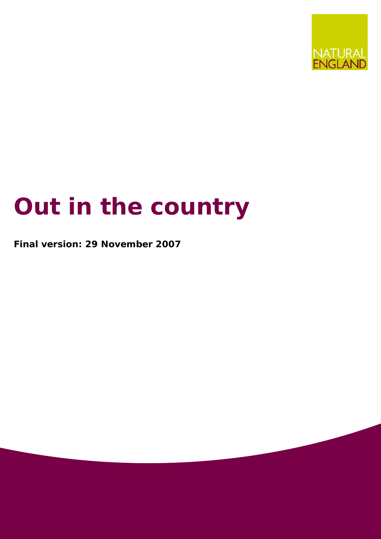

# **Out in the country**

**Final version: 29 November 2007**

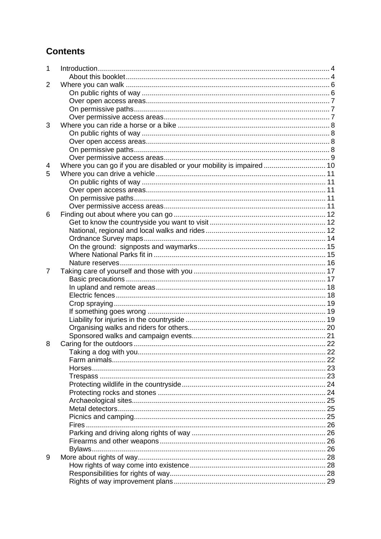# **Contents**

| $\mathbf{1}$   |                                                                       |  |
|----------------|-----------------------------------------------------------------------|--|
|                |                                                                       |  |
| 2              |                                                                       |  |
|                |                                                                       |  |
|                |                                                                       |  |
|                |                                                                       |  |
|                |                                                                       |  |
| 3              |                                                                       |  |
|                |                                                                       |  |
|                |                                                                       |  |
|                |                                                                       |  |
|                |                                                                       |  |
| 4              | Where you can go if you are disabled or your mobility is impaired  10 |  |
| 5              |                                                                       |  |
|                |                                                                       |  |
|                |                                                                       |  |
|                |                                                                       |  |
|                |                                                                       |  |
| 6              |                                                                       |  |
|                |                                                                       |  |
|                |                                                                       |  |
|                |                                                                       |  |
|                |                                                                       |  |
|                |                                                                       |  |
|                |                                                                       |  |
| $\overline{7}$ |                                                                       |  |
|                |                                                                       |  |
|                |                                                                       |  |
|                |                                                                       |  |
|                |                                                                       |  |
|                |                                                                       |  |
|                |                                                                       |  |
|                |                                                                       |  |
|                |                                                                       |  |
| 8              |                                                                       |  |
|                |                                                                       |  |
|                |                                                                       |  |
|                |                                                                       |  |
|                |                                                                       |  |
|                |                                                                       |  |
|                |                                                                       |  |
|                |                                                                       |  |
|                |                                                                       |  |
|                |                                                                       |  |
|                |                                                                       |  |
|                |                                                                       |  |
|                |                                                                       |  |
|                |                                                                       |  |
|                | Bylaws                                                                |  |
| 9              |                                                                       |  |
|                |                                                                       |  |
|                |                                                                       |  |
|                |                                                                       |  |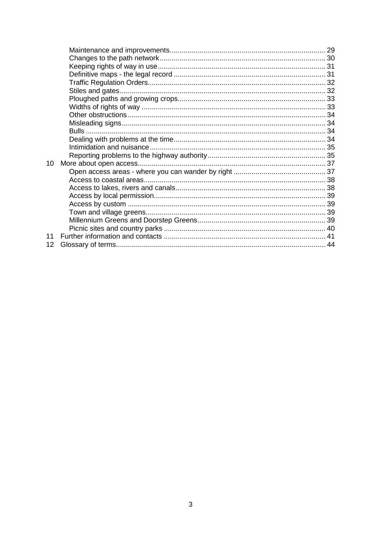| 10              |  |
|-----------------|--|
|                 |  |
|                 |  |
|                 |  |
|                 |  |
|                 |  |
|                 |  |
|                 |  |
|                 |  |
| 11              |  |
| 12 <sub>2</sub> |  |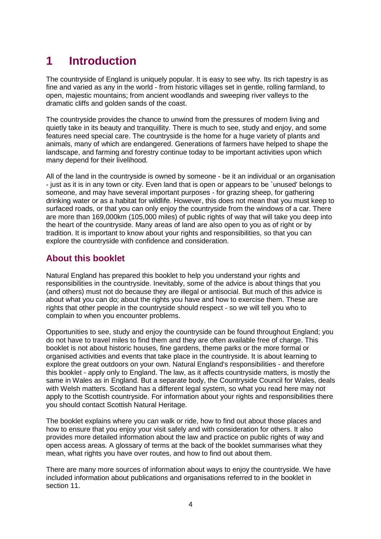# **1 Introduction**

The countryside of England is uniquely popular. It is easy to see why. Its rich tapestry is as fine and varied as any in the world - from historic villages set in gentle, rolling farmland, to open, majestic mountains; from ancient woodlands and sweeping river valleys to the dramatic cliffs and golden sands of the coast.

The countryside provides the chance to unwind from the pressures of modern living and quietly take in its beauty and tranquillity. There is much to see, study and enjoy, and some features need special care. The countryside is the home for a huge variety of plants and animals, many of which are endangered. Generations of farmers have helped to shape the landscape, and farming and forestry continue today to be important activities upon which many depend for their livelihood.

All of the land in the countryside is owned by someone - be it an individual or an organisation - just as it is in any town or city. Even land that is open or appears to be `unused' belongs to someone, and may have several important purposes - for grazing sheep, for gathering drinking water or as a habitat for wildlife. However, this does not mean that you must keep to surfaced roads, or that you can only enjoy the countryside from the windows of a car. There are more than 169,000km (105,000 miles) of public rights of way that will take you deep into the heart of the countryside. Many areas of land are also open to you as of right or by tradition. It is important to know about your rights and responsibilities, so that you can explore the countryside with confidence and consideration.

# **About this booklet**

Natural England has prepared this booklet to help you understand your rights and responsibilities in the countryside. Inevitably, some of the advice is about things that you (and others) must not do because they are illegal or antisocial. But much of this advice is about what you can do; about the rights you have and how to exercise them. These are rights that other people in the countryside should respect - so we will tell you who to complain to when you encounter problems.

Opportunities to see, study and enjoy the countryside can be found throughout England; you do not have to travel miles to find them and they are often available free of charge. This booklet is not about historic houses, fine gardens, theme parks or the more formal or organised activities and events that take place in the countryside. It is about learning to explore the great outdoors on your own. Natural England's responsibilities - and therefore this booklet - apply only to England. The law, as it affects countryside matters, is mostly the same in Wales as in England. But a separate body, the Countryside Council for Wales, deals with Welsh matters. Scotland has a different legal system, so what you read here may not apply to the Scottish countryside. For information about your rights and responsibilities there you should contact Scottish Natural Heritage.

The booklet explains where you can walk or ride, how to find out about those places and how to ensure that you enjoy your visit safely and with consideration for others. It also provides more detailed information about the law and practice on public rights of way and open access areas. A glossary of terms at the back of the booklet summarises what they mean, what rights you have over routes, and how to find out about them.

There are many more sources of information about ways to enjoy the countryside. We have included information about publications and organisations referred to in the booklet in section 11.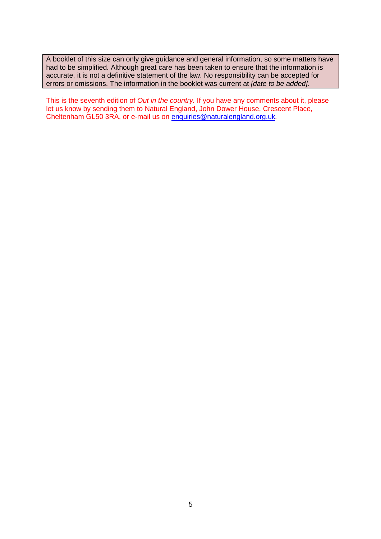A booklet of this size can only give guidance and general information, so some matters have had to be simplified. Although great care has been taken to ensure that the information is accurate, it is not a definitive statement of the law. No responsibility can be accepted for errors or omissions. The information in the booklet was current at *[date to be added].*

This is the seventh edition of *Out in the country.* If you have any comments about it, please let us know by sending them to Natural England, John Dower House, Crescent Place, Cheltenham GL50 3RA, or e-mail us on enquiries@naturalengland.org.uk*.*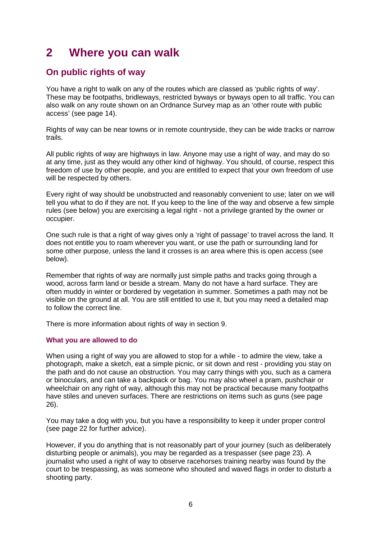# **2 Where you can walk**

# **On public rights of way**

You have a right to walk on any of the routes which are classed as 'public rights of way'. These may be footpaths, bridleways, restricted byways or byways open to all traffic. You can also walk on any route shown on an Ordnance Survey map as an 'other route with public access' (see page 14).

Rights of way can be near towns or in remote countryside, they can be wide tracks or narrow trails.

All public rights of way are highways in law. Anyone may use a right of way, and may do so at any time, just as they would any other kind of highway. You should, of course, respect this freedom of use by other people, and you are entitled to expect that your own freedom of use will be respected by others.

Every right of way should be unobstructed and reasonably convenient to use; later on we will tell you what to do if they are not. If you keep to the line of the way and observe a few simple rules (see below) you are exercising a legal right - not a privilege granted by the owner or occupier.

One such rule is that a right of way gives only a 'right of passage' to travel across the land. It does not entitle you to roam wherever you want, or use the path or surrounding land for some other purpose, unless the land it crosses is an area where this is open access (see below).

Remember that rights of way are normally just simple paths and tracks going through a wood, across farm land or beside a stream. Many do not have a hard surface. They are often muddy in winter or bordered by vegetation in summer. Sometimes a path may not be visible on the ground at all. You are still entitled to use it, but you may need a detailed map to follow the correct line.

There is more information about rights of way in section 9.

#### **What you are allowed to do**

When using a right of way you are allowed to stop for a while - to admire the view, take a photograph, make a sketch, eat a simple picnic, or sit down and rest - providing you stay on the path and do not cause an obstruction. You may carry things with you, such as a camera or binoculars, and can take a backpack or bag. You may also wheel a pram, pushchair or wheelchair on any right of way, although this may not be practical because many footpaths have stiles and uneven surfaces. There are restrictions on items such as guns (see page 26).

You may take a dog with you, but you have a responsibility to keep it under proper control (see page 22 for further advice).

However, if you do anything that is not reasonably part of your journey (such as deliberately disturbing people or animals), you may be regarded as a trespasser (see page 23). A journalist who used a right of way to observe racehorses training nearby was found by the court to be trespassing, as was someone who shouted and waved flags in order to disturb a shooting party.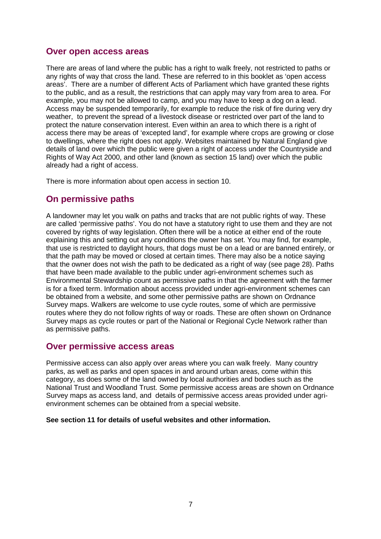#### **Over open access areas**

There are areas of land where the public has a right to walk freely, not restricted to paths or any rights of way that cross the land. These are referred to in this booklet as 'open access areas'. There are a number of different Acts of Parliament which have granted these rights to the public, and as a result, the restrictions that can apply may vary from area to area. For example, you may not be allowed to camp, and you may have to keep a dog on a lead. Access may be suspended temporarily, for example to reduce the risk of fire during very dry weather, to prevent the spread of a livestock disease or restricted over part of the land to protect the nature conservation interest. Even within an area to which there is a right of access there may be areas of 'excepted land', for example where crops are growing or close to dwellings, where the right does not apply. Websites maintained by Natural England give details of land over which the public were given a right of access under the Countryside and Rights of Way Act 2000, and other land (known as section 15 land) over which the public already had a right of access.

There is more information about open access in section 10.

### **On permissive paths**

A landowner may let you walk on paths and tracks that are not public rights of way. These are called 'permissive paths'. You do not have a statutory right to use them and they are not covered by rights of way legislation. Often there will be a notice at either end of the route explaining this and setting out any conditions the owner has set. You may find, for example, that use is restricted to daylight hours, that dogs must be on a lead or are banned entirely, or that the path may be moved or closed at certain times. There may also be a notice saying that the owner does not wish the path to be dedicated as a right of way (see page 28). Paths that have been made available to the public under agri-environment schemes such as Environmental Stewardship count as permissive paths in that the agreement with the farmer is for a fixed term. Information about access provided under agri-environment schemes can be obtained from a website, and some other permissive paths are shown on Ordnance Survey maps. Walkers are welcome to use cycle routes, some of which are permissive routes where they do not follow rights of way or roads. These are often shown on Ordnance Survey maps as cycle routes or part of the National or Regional Cycle Network rather than as permissive paths.

#### **Over permissive access areas**

Permissive access can also apply over areas where you can walk freely. Many country parks, as well as parks and open spaces in and around urban areas, come within this category, as does some of the land owned by local authorities and bodies such as the National Trust and Woodland Trust. Some permissive access areas are shown on Ordnance Survey maps as access land, and details of permissive access areas provided under agrienvironment schemes can be obtained from a special website.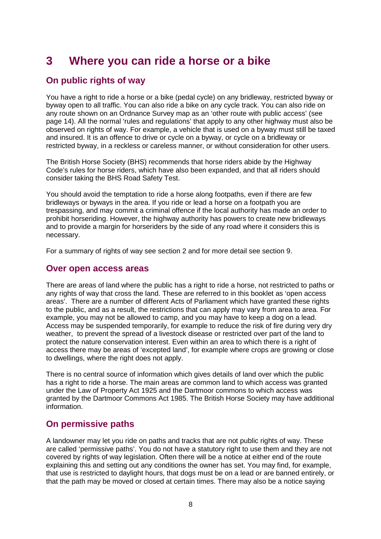# **3 Where you can ride a horse or a bike**

# **On public rights of way**

You have a right to ride a horse or a bike (pedal cycle) on any bridleway, restricted byway or byway open to all traffic. You can also ride a bike on any cycle track. You can also ride on any route shown on an Ordnance Survey map as an 'other route with public access' (see page 14). All the normal 'rules and regulations' that apply to any other highway must also be observed on rights of way. For example, a vehicle that is used on a byway must still be taxed and insured. It is an offence to drive or cycle on a byway, or cycle on a bridleway or restricted byway, in a reckless or careless manner, or without consideration for other users.

The British Horse Society (BHS) recommends that horse riders abide by the Highway Code's rules for horse riders, which have also been expanded, and that all riders should consider taking the BHS Road Safety Test.

You should avoid the temptation to ride a horse along footpaths, even if there are few bridleways or byways in the area. If you ride or lead a horse on a footpath you are trespassing, and may commit a criminal offence if the local authority has made an order to prohibit horseriding. However, the highway authority has powers to create new bridleways and to provide a margin for horseriders by the side of any road where it considers this is necessary.

For a summary of rights of way see section 2 and for more detail see section 9.

#### **Over open access areas**

There are areas of land where the public has a right to ride a horse, not restricted to paths or any rights of way that cross the land. These are referred to in this booklet as 'open access areas'. There are a number of different Acts of Parliament which have granted these rights to the public, and as a result, the restrictions that can apply may vary from area to area. For example, you may not be allowed to camp, and you may have to keep a dog on a lead. Access may be suspended temporarily, for example to reduce the risk of fire during very dry weather, to prevent the spread of a livestock disease or restricted over part of the land to protect the nature conservation interest. Even within an area to which there is a right of access there may be areas of 'excepted land', for example where crops are growing or close to dwellings, where the right does not apply.

There is no central source of information which gives details of land over which the public has a right to ride a horse. The main areas are common land to which access was granted under the Law of Property Act 1925 and the Dartmoor commons to which access was granted by the Dartmoor Commons Act 1985. The British Horse Society may have additional information.

# **On permissive paths**

A landowner may let you ride on paths and tracks that are not public rights of way. These are called 'permissive paths'. You do not have a statutory right to use them and they are not covered by rights of way legislation. Often there will be a notice at either end of the route explaining this and setting out any conditions the owner has set. You may find, for example, that use is restricted to daylight hours, that dogs must be on a lead or are banned entirely, or that the path may be moved or closed at certain times. There may also be a notice saying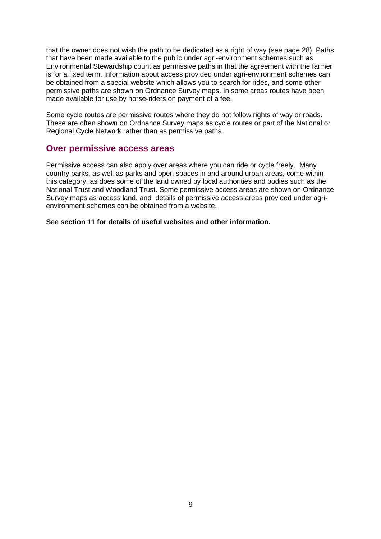that the owner does not wish the path to be dedicated as a right of way (see page 28). Paths that have been made available to the public under agri-environment schemes such as Environmental Stewardship count as permissive paths in that the agreement with the farmer is for a fixed term. Information about access provided under agri-environment schemes can be obtained from a special website which allows you to search for rides, and some other permissive paths are shown on Ordnance Survey maps. In some areas routes have been made available for use by horse-riders on payment of a fee.

Some cycle routes are permissive routes where they do not follow rights of way or roads. These are often shown on Ordnance Survey maps as cycle routes or part of the National or Regional Cycle Network rather than as permissive paths.

#### **Over permissive access areas**

Permissive access can also apply over areas where you can ride or cycle freely. Many country parks, as well as parks and open spaces in and around urban areas, come within this category, as does some of the land owned by local authorities and bodies such as the National Trust and Woodland Trust. Some permissive access areas are shown on Ordnance Survey maps as access land, and details of permissive access areas provided under agrienvironment schemes can be obtained from a website.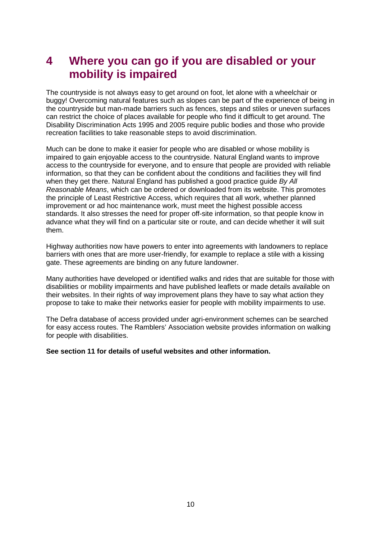# **4 Where you can go if you are disabled or your mobility is impaired**

The countryside is not always easy to get around on foot, let alone with a wheelchair or buggy! Overcoming natural features such as slopes can be part of the experience of being in the countryside but man-made barriers such as fences, steps and stiles or uneven surfaces can restrict the choice of places available for people who find it difficult to get around. The Disability Discrimination Acts 1995 and 2005 require public bodies and those who provide recreation facilities to take reasonable steps to avoid discrimination.

Much can be done to make it easier for people who are disabled or whose mobility is impaired to gain enjoyable access to the countryside. Natural England wants to improve access to the countryside for everyone, and to ensure that people are provided with reliable information, so that they can be confident about the conditions and facilities they will find when they get there. Natural England has published a good practice guide *By All Reasonable Means*, which can be ordered or downloaded from its website. This promotes the principle of Least Restrictive Access, which requires that all work, whether planned improvement or ad hoc maintenance work, must meet the highest possible access standards. It also stresses the need for proper off-site information, so that people know in advance what they will find on a particular site or route, and can decide whether it will suit them.

Highway authorities now have powers to enter into agreements with landowners to replace barriers with ones that are more user-friendly, for example to replace a stile with a kissing gate. These agreements are binding on any future landowner.

Many authorities have developed or identified walks and rides that are suitable for those with disabilities or mobility impairments and have published leaflets or made details available on their websites. In their rights of way improvement plans they have to say what action they propose to take to make their networks easier for people with mobility impairments to use.

The Defra database of access provided under agri-environment schemes can be searched for easy access routes. The Ramblers' Association website provides information on walking for people with disabilities.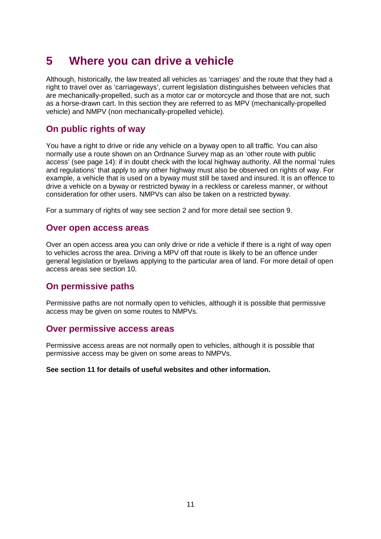# **5 Where you can drive a vehicle**

Although, historically, the law treated all vehicles as 'carriages' and the route that they had a right to travel over as 'carriageways', current legislation distinguishes between vehicles that are mechanically-propelled, such as a motor car or motorcycle and those that are not, such as a horse-drawn cart. In this section they are referred to as MPV (mechanically-propelled vehicle) and NMPV (non mechanically-propelled vehicle).

### **On public rights of way**

You have a right to drive or ride any vehicle on a byway open to all traffic. You can also normally use a route shown on an Ordnance Survey map as an 'other route with public access' (see page 14): if in doubt check with the local highway authority. All the normal 'rules and regulations' that apply to any other highway must also be observed on rights of way. For example, a vehicle that is used on a byway must still be taxed and insured. It is an offence to drive a vehicle on a byway or restricted byway in a reckless or careless manner, or without consideration for other users. NMPVs can also be taken on a restricted byway.

For a summary of rights of way see section 2 and for more detail see section 9.

#### **Over open access areas**

Over an open access area you can only drive or ride a vehicle if there is a right of way open to vehicles across the area. Driving a MPV off that route is likely to be an offence under general legislation or byelaws applying to the particular area of land. For more detail of open access areas see section 10.

### **On permissive paths**

Permissive paths are not normally open to vehicles, although it is possible that permissive access may be given on some routes to NMPVs.

#### **Over permissive access areas**

Permissive access areas are not normally open to vehicles, although it is possible that permissive access may be given on some areas to NMPVs.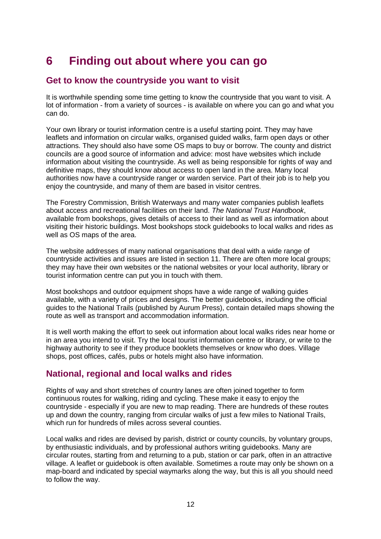# **6 Finding out about where you can go**

# **Get to know the countryside you want to visit**

It is worthwhile spending some time getting to know the countryside that you want to visit. A lot of information - from a variety of sources - is available on where you can go and what you can do.

Your own library or tourist information centre is a useful starting point. They may have leaflets and information on circular walks, organised guided walks, farm open days or other attractions. They should also have some OS maps to buy or borrow. The county and district councils are a good source of information and advice: most have websites which include information about visiting the countryside. As well as being responsible for rights of way and definitive maps, they should know about access to open land in the area. Many local authorities now have a countryside ranger or warden service. Part of their job is to help you enjoy the countryside, and many of them are based in visitor centres.

The Forestry Commission, British Waterways and many water companies publish leaflets about access and recreational facilities on their land. *The National Trust Handbook*, available from bookshops, gives details of access to their land as well as information about visiting their historic buildings. Most bookshops stock guidebooks to local walks and rides as well as OS maps of the area.

The website addresses of many national organisations that deal with a wide range of countryside activities and issues are listed in section 11. There are often more local groups; they may have their own websites or the national websites or your local authority, library or tourist information centre can put you in touch with them.

Most bookshops and outdoor equipment shops have a wide range of walking guides available, with a variety of prices and designs. The better guidebooks, including the official guides to the National Trails (published by Aurum Press), contain detailed maps showing the route as well as transport and accommodation information.

It is well worth making the effort to seek out information about local walks rides near home or in an area you intend to visit. Try the local tourist information centre or library, or write to the highway authority to see if they produce booklets themselves or know who does. Village shops, post offices, cafés, pubs or hotels might also have information.

# **National, regional and local walks and rides**

Rights of way and short stretches of country lanes are often joined together to form continuous routes for walking, riding and cycling. These make it easy to enjoy the countryside - especially if you are new to map reading. There are hundreds of these routes up and down the country, ranging from circular walks of just a few miles to National Trails, which run for hundreds of miles across several counties.

Local walks and rides are devised by parish, district or county councils, by voluntary groups, by enthusiastic individuals, and by professional authors writing guidebooks. Many are circular routes, starting from and returning to a pub, station or car park, often in an attractive village. A leaflet or guidebook is often available. Sometimes a route may only be shown on a map-board and indicated by special waymarks along the way, but this is all you should need to follow the way.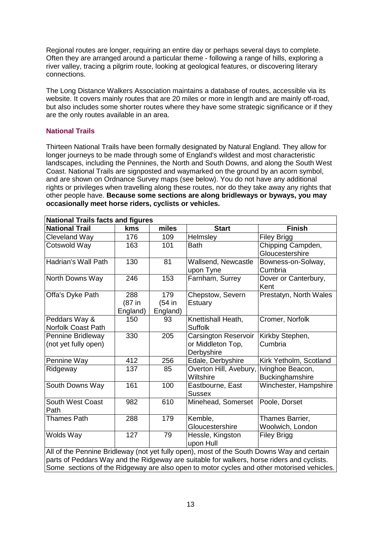Regional routes are longer, requiring an entire day or perhaps several days to complete. Often they are arranged around a particular theme - following a range of hills, exploring a river valley, tracing a pilgrim route, looking at geological features, or discovering literary connections.

The Long Distance Walkers Association maintains a database of routes, accessible via its website. It covers mainly routes that are 20 miles or more in length and are mainly off-road, but also includes some shorter routes where they have some strategic significance or if they are the only routes available in an area.

#### **National Trails**

Thirteen National Trails have been formally designated by Natural England. They allow for longer journeys to be made through some of England's wildest and most characteristic landscapes, including the Pennines, the North and South Downs, and along the South West Coast. National Trails are signposted and waymarked on the ground by an acorn symbol, and are shown on Ordnance Survey maps (see below). You do not have any additional rights or privileges when travelling along these routes, nor do they take away any rights that other people have. **Because some sections are along bridleways or byways, you may occasionally meet horse riders, cyclists or vehicles.**

| <b>National Trails facts and figures</b>                                                                                                                                                 |                           |                           |                                                                |                                      |
|------------------------------------------------------------------------------------------------------------------------------------------------------------------------------------------|---------------------------|---------------------------|----------------------------------------------------------------|--------------------------------------|
| <b>National Trail</b>                                                                                                                                                                    | kms                       | miles                     | <b>Start</b>                                                   | <b>Finish</b>                        |
| Cleveland Way                                                                                                                                                                            | 176                       | 109                       | Helmsley                                                       | <b>Filey Brigg</b>                   |
| Cotswold Way                                                                                                                                                                             | 163                       | 101                       | <b>Bath</b>                                                    | Chipping Campden,<br>Gloucestershire |
| Hadrian's Wall Path                                                                                                                                                                      | 130                       | 81                        | Wallsend, Newcastle<br>upon Tyne                               | Bowness-on-Solway,<br>Cumbria        |
| North Downs Way                                                                                                                                                                          | 246                       | 153                       | Farnham, Surrey                                                | Dover or Canterbury,<br>Kent         |
| Offa's Dyke Path                                                                                                                                                                         | 288<br>(87 in<br>England) | 179<br>(54 in<br>England) | Chepstow, Severn<br>Estuary                                    | Prestatyn, North Wales               |
| Peddars Way &<br><b>Norfolk Coast Path</b>                                                                                                                                               | 150                       | 93                        | Knettishall Heath,<br><b>Suffolk</b>                           | Cromer, Norfolk                      |
| Pennine Bridleway<br>(not yet fully open)                                                                                                                                                | 330                       | 205                       | <b>Carsington Reservoir</b><br>or Middleton Top,<br>Derbyshire | Kirkby Stephen,<br>Cumbria           |
| Pennine Way                                                                                                                                                                              | 412                       | 256                       | Edale, Derbyshire                                              | Kirk Yetholm, Scotland               |
| Ridgeway                                                                                                                                                                                 | 137                       | 85                        | Overton Hill, Avebury,<br>Wiltshire                            | Ivinghoe Beacon,<br>Buckinghamshire  |
| South Downs Way                                                                                                                                                                          | 161                       | 100                       | Eastbourne, East<br><b>Sussex</b>                              | Winchester, Hampshire                |
| <b>South West Coast</b><br>Path                                                                                                                                                          | 982                       | 610                       | Minehead, Somerset                                             | Poole, Dorset                        |
| <b>Thames Path</b>                                                                                                                                                                       | 288                       | 179                       | Kemble,<br>Gloucestershire                                     | Thames Barrier,<br>Woolwich, London  |
| Wolds Way                                                                                                                                                                                | 127                       | 79                        | Hessle, Kingston<br>upon Hull                                  | <b>Filey Brigg</b>                   |
| All of the Pennine Bridleway (not yet fully open), most of the South Downs Way and certain<br>parts of Peddars Way and the Ridgeway are suitable for walkers, horse riders and cyclists. |                           |                           |                                                                |                                      |

Some sections of the Ridgeway are also open to motor cycles and other motorised vehicles.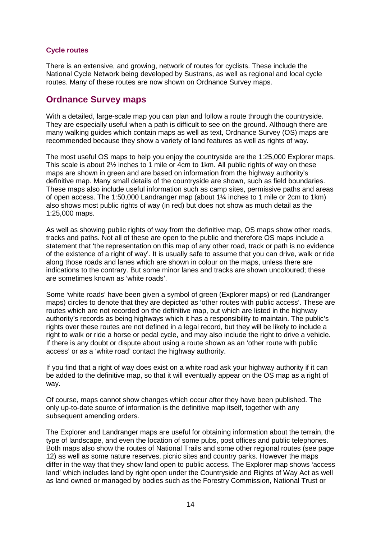#### **Cycle routes**

There is an extensive, and growing, network of routes for cyclists. These include the National Cycle Network being developed by Sustrans, as well as regional and local cycle routes. Many of these routes are now shown on Ordnance Survey maps.

#### **Ordnance Survey maps**

With a detailed, large-scale map you can plan and follow a route through the countryside. They are especially useful when a path is difficult to see on the ground. Although there are many walking guides which contain maps as well as text, Ordnance Survey (OS) maps are recommended because they show a variety of land features as well as rights of way.

The most useful OS maps to help you enjoy the countryside are the 1:25,000 Explorer maps. This scale is about 2½ inches to 1 mile or 4cm to 1km. All public rights of way on these maps are shown in green and are based on information from the highway authority's definitive map. Many small details of the countryside are shown, such as field boundaries. These maps also include useful information such as camp sites, permissive paths and areas of open access. The 1:50,000 Landranger map (about 1¼ inches to 1 mile or 2cm to 1km) also shows most public rights of way (in red) but does not show as much detail as the 1:25,000 maps.

As well as showing public rights of way from the definitive map, OS maps show other roads, tracks and paths. Not all of these are open to the public and therefore OS maps include a statement that 'the representation on this map of any other road, track or path is no evidence of the existence of a right of way'. It is usually safe to assume that you can drive, walk or ride along those roads and lanes which are shown in colour on the maps, unless there are indications to the contrary. But some minor lanes and tracks are shown uncoloured; these are sometimes known as 'white roads'.

Some 'white roads' have been given a symbol of green (Explorer maps) or red (Landranger maps) circles to denote that they are depicted as 'other routes with public access'. These are routes which are not recorded on the definitive map, but which are listed in the highway authority's records as being highways which it has a responsibility to maintain. The public's rights over these routes are not defined in a legal record, but they will be likely to include a right to walk or ride a horse or pedal cycle, and may also include the right to drive a vehicle. If there is any doubt or dispute about using a route shown as an 'other route with public access' or as a 'white road' contact the highway authority.

If you find that a right of way does exist on a white road ask your highway authority if it can be added to the definitive map, so that it will eventually appear on the OS map as a right of way.

Of course, maps cannot show changes which occur after they have been published. The only up-to-date source of information is the definitive map itself, together with any subsequent amending orders.

The Explorer and Landranger maps are useful for obtaining information about the terrain, the type of landscape, and even the location of some pubs, post offices and public telephones. Both maps also show the routes of National Trails and some other regional routes (see page 12) as well as some nature reserves, picnic sites and country parks. However the maps differ in the way that they show land open to public access. The Explorer map shows 'access land' which includes land by right open under the Countryside and Rights of Way Act as well as land owned or managed by bodies such as the Forestry Commission, National Trust or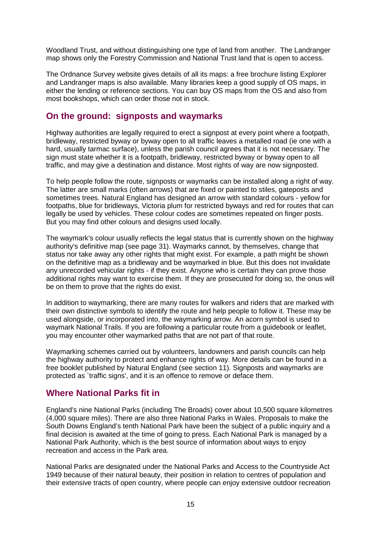Woodland Trust, and without distinguishing one type of land from another. The Landranger map shows only the Forestry Commission and National Trust land that is open to access.

The Ordnance Survey website gives details of all its maps: a free brochure listing Explorer and Landranger maps is also available. Many libraries keep a good supply of OS maps, in either the lending or reference sections. You can buy OS maps from the OS and also from most bookshops, which can order those not in stock.

#### **On the ground: signposts and waymarks**

Highway authorities are legally required to erect a signpost at every point where a footpath, bridleway, restricted byway or byway open to all traffic leaves a metalled road (ie one with a hard, usually tarmac surface), unless the parish council agrees that it is not necessary. The sign must state whether it is a footpath, bridleway, restricted byway or byway open to all traffic, and may give a destination and distance. Most rights of way are now signposted.

To help people follow the route, signposts or waymarks can be installed along a right of way. The latter are small marks (often arrows) that are fixed or painted to stiles, gateposts and sometimes trees. Natural England has designed an arrow with standard colours - yellow for footpaths, blue for bridleways, Victoria plum for restricted byways and red for routes that can legally be used by vehicles. These colour codes are sometimes repeated on finger posts. But you may find other colours and designs used locally.

The waymark's colour usually reflects the legal status that is currently shown on the highway authority's definitive map (see page 31). Waymarks cannot, by themselves, change that status nor take away any other rights that might exist. For example, a path might be shown on the definitive map as a bridleway and be waymarked in blue. But this does not invalidate any unrecorded vehicular rights - if they exist. Anyone who is certain they can prove those additional rights may want to exercise them. If they are prosecuted for doing so, the onus will be on them to prove that the rights do exist.

In addition to waymarking, there are many routes for walkers and riders that are marked with their own distinctive symbols to identify the route and help people to follow it. These may be used alongside, or incorporated into, the waymarking arrow. An acorn symbol is used to waymark National Trails. If you are following a particular route from a guidebook or leaflet, you may encounter other waymarked paths that are not part of that route.

Waymarking schemes carried out by volunteers, landowners and parish councils can help the highway authority to protect and enhance rights of way. More details can be found in a free booklet published by Natural England (see section 11). Signposts and waymarks are protected as `traffic signs', and it is an offence to remove or deface them.

### **Where National Parks fit in**

England's nine National Parks (including The Broads) cover about 10,500 square kilometres (4,000 square miles). There are also three National Parks in Wales. Proposals to make the South Downs England's tenth National Park have been the subject of a public inquiry and a final decision is awaited at the time of going to press. Each National Park is managed by a National Park Authority, which is the best source of information about ways to enjoy recreation and access in the Park area.

National Parks are designated under the National Parks and Access to the Countryside Act 1949 because of their natural beauty, their position in relation to centres of population and their extensive tracts of open country, where people can enjoy extensive outdoor recreation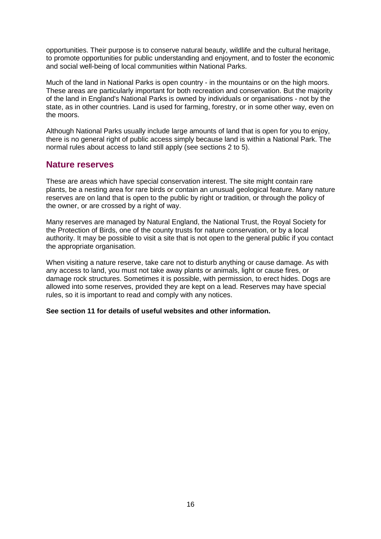opportunities. Their purpose is to conserve natural beauty, wildlife and the cultural heritage, to promote opportunities for public understanding and enjoyment, and to foster the economic and social well-being of local communities within National Parks.

Much of the land in National Parks is open country - in the mountains or on the high moors. These areas are particularly important for both recreation and conservation. But the majority of the land in England's National Parks is owned by individuals or organisations - not by the state, as in other countries. Land is used for farming, forestry, or in some other way, even on the moors.

Although National Parks usually include large amounts of land that is open for you to enjoy, there is no general right of public access simply because land is within a National Park. The normal rules about access to land still apply (see sections 2 to 5).

#### **Nature reserves**

These are areas which have special conservation interest. The site might contain rare plants, be a nesting area for rare birds or contain an unusual geological feature. Many nature reserves are on land that is open to the public by right or tradition, or through the policy of the owner, or are crossed by a right of way.

Many reserves are managed by Natural England, the National Trust, the Royal Society for the Protection of Birds, one of the county trusts for nature conservation, or by a local authority. It may be possible to visit a site that is not open to the general public if you contact the appropriate organisation.

When visiting a nature reserve, take care not to disturb anything or cause damage. As with any access to land, you must not take away plants or animals, light or cause fires, or damage rock structures. Sometimes it is possible, with permission, to erect hides. Dogs are allowed into some reserves, provided they are kept on a lead. Reserves may have special rules, so it is important to read and comply with any notices.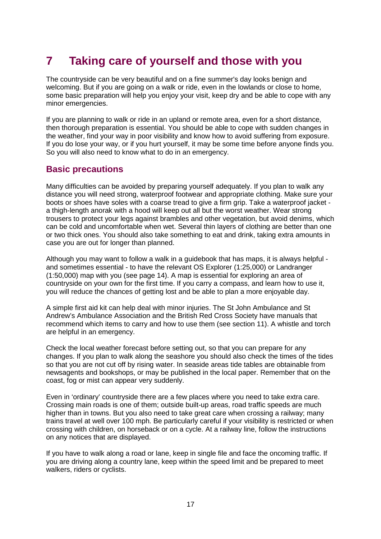# **7 Taking care of yourself and those with you**

The countryside can be very beautiful and on a fine summer's day looks benign and welcoming. But if you are going on a walk or ride, even in the lowlands or close to home, some basic preparation will help you enjoy your visit, keep dry and be able to cope with any minor emergencies.

If you are planning to walk or ride in an upland or remote area, even for a short distance, then thorough preparation is essential. You should be able to cope with sudden changes in the weather, find your way in poor visibility and know how to avoid suffering from exposure. If you do lose your way, or if you hurt yourself, it may be some time before anyone finds you. So you will also need to know what to do in an emergency.

#### **Basic precautions**

Many difficulties can be avoided by preparing yourself adequately. If you plan to walk any distance you will need strong, waterproof footwear and appropriate clothing. Make sure your boots or shoes have soles with a coarse tread to give a firm grip. Take a waterproof jacket a thigh-length anorak with a hood will keep out all but the worst weather. Wear strong trousers to protect your legs against brambles and other vegetation, but avoid denims, which can be cold and uncomfortable when wet. Several thin layers of clothing are better than one or two thick ones. You should also take something to eat and drink, taking extra amounts in case you are out for longer than planned.

Although you may want to follow a walk in a guidebook that has maps, it is always helpful and sometimes essential - to have the relevant OS Explorer (1:25,000) or Landranger (1:50,000) map with you (see page 14). A map is essential for exploring an area of countryside on your own for the first time. If you carry a compass, and learn how to use it, you will reduce the chances of getting lost and be able to plan a more enjoyable day.

A simple first aid kit can help deal with minor injuries. The St John Ambulance and St Andrew's Ambulance Association and the British Red Cross Society have manuals that recommend which items to carry and how to use them (see section 11). A whistle and torch are helpful in an emergency.

Check the local weather forecast before setting out, so that you can prepare for any changes. If you plan to walk along the seashore you should also check the times of the tides so that you are not cut off by rising water. In seaside areas tide tables are obtainable from newsagents and bookshops, or may be published in the local paper. Remember that on the coast, fog or mist can appear very suddenly.

Even in 'ordinary' countryside there are a few places where you need to take extra care. Crossing main roads is one of them; outside built-up areas, road traffic speeds are much higher than in towns. But you also need to take great care when crossing a railway; many trains travel at well over 100 mph. Be particularly careful if your visibility is restricted or when crossing with children, on horseback or on a cycle. At a railway line, follow the instructions on any notices that are displayed.

If you have to walk along a road or lane, keep in single file and face the oncoming traffic. If you are driving along a country lane, keep within the speed limit and be prepared to meet walkers, riders or cyclists.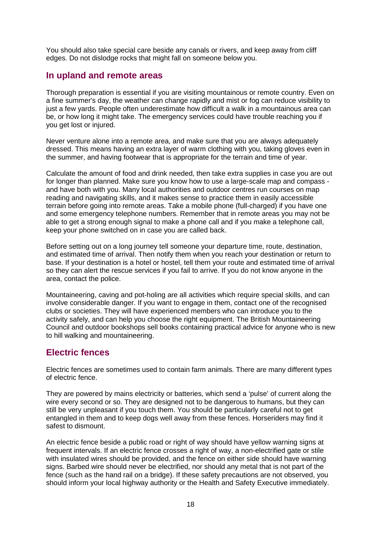You should also take special care beside any canals or rivers, and keep away from cliff edges. Do not dislodge rocks that might fall on someone below you.

### **In upland and remote areas**

Thorough preparation is essential if you are visiting mountainous or remote country. Even on a fine summer's day, the weather can change rapidly and mist or fog can reduce visibility to just a few yards. People often underestimate how difficult a walk in a mountainous area can be, or how long it might take. The emergency services could have trouble reaching you if you get lost or injured.

Never venture alone into a remote area, and make sure that you are always adequately dressed. This means having an extra layer of warm clothing with you, taking gloves even in the summer, and having footwear that is appropriate for the terrain and time of year.

Calculate the amount of food and drink needed, then take extra supplies in case you are out for longer than planned. Make sure you know how to use a large-scale map and compass and have both with you. Many local authorities and outdoor centres run courses on map reading and navigating skills, and it makes sense to practice them in easily accessible terrain before going into remote areas. Take a mobile phone (full-charged) if you have one and some emergency telephone numbers. Remember that in remote areas you may not be able to get a strong enough signal to make a phone call and if you make a telephone call, keep your phone switched on in case you are called back.

Before setting out on a long journey tell someone your departure time, route, destination, and estimated time of arrival. Then notify them when you reach your destination or return to base. If your destination is a hotel or hostel, tell them your route and estimated time of arrival so they can alert the rescue services if you fail to arrive. If you do not know anyone in the area, contact the police.

Mountaineering, caving and pot-holing are all activities which require special skills, and can involve considerable danger. If you want to engage in them, contact one of the recognised clubs or societies. They will have experienced members who can introduce you to the activity safely, and can help you choose the right equipment. The British Mountaineering Council and outdoor bookshops sell books containing practical advice for anyone who is new to hill walking and mountaineering.

### **Electric fences**

Electric fences are sometimes used to contain farm animals. There are many different types of electric fence.

They are powered by mains electricity or batteries, which send a 'pulse' of current along the wire every second or so. They are designed not to be dangerous to humans, but they can still be very unpleasant if you touch them. You should be particularly careful not to get entangled in them and to keep dogs well away from these fences. Horseriders may find it safest to dismount.

An electric fence beside a public road or right of way should have yellow warning signs at frequent intervals. If an electric fence crosses a right of way, a non-electrified gate or stile with insulated wires should be provided, and the fence on either side should have warning signs. Barbed wire should never be electrified, nor should any metal that is not part of the fence (such as the hand rail on a bridge). If these safety precautions are not observed, you should inform your local highway authority or the Health and Safety Executive immediately.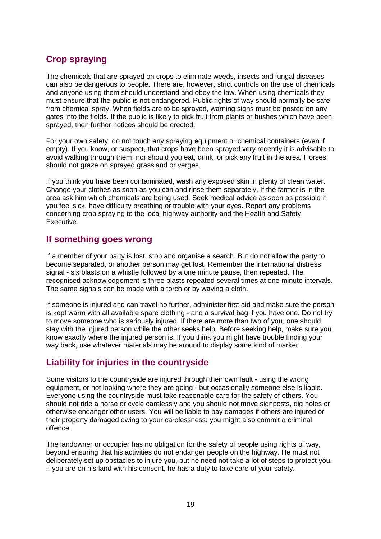# **Crop spraying**

The chemicals that are sprayed on crops to eliminate weeds, insects and fungal diseases can also be dangerous to people. There are, however, strict controls on the use of chemicals and anyone using them should understand and obey the law. When using chemicals they must ensure that the public is not endangered. Public rights of way should normally be safe from chemical spray. When fields are to be sprayed, warning signs must be posted on any gates into the fields. If the public is likely to pick fruit from plants or bushes which have been sprayed, then further notices should be erected.

For your own safety, do not touch any spraying equipment or chemical containers (even if empty). If you know, or suspect, that crops have been sprayed very recently it is advisable to avoid walking through them; nor should you eat, drink, or pick any fruit in the area. Horses should not graze on sprayed grassland or verges.

If you think you have been contaminated, wash any exposed skin in plenty of clean water. Change your clothes as soon as you can and rinse them separately. If the farmer is in the area ask him which chemicals are being used. Seek medical advice as soon as possible if you feel sick, have difficulty breathing or trouble with your eyes. Report any problems concerning crop spraying to the local highway authority and the Health and Safety Executive.

#### **If something goes wrong**

If a member of your party is lost, stop and organise a search. But do not allow the party to become separated, or another person may get lost. Remember the international distress signal - six blasts on a whistle followed by a one minute pause, then repeated. The recognised acknowledgement is three blasts repeated several times at one minute intervals. The same signals can be made with a torch or by waving a cloth.

If someone is injured and can travel no further, administer first aid and make sure the person is kept warm with all available spare clothing - and a survival bag if you have one. Do not try to move someone who is seriously injured. If there are more than two of you, one should stay with the injured person while the other seeks help. Before seeking help, make sure you know exactly where the injured person is. If you think you might have trouble finding your way back, use whatever materials may be around to display some kind of marker.

### **Liability for injuries in the countryside**

Some visitors to the countryside are injured through their own fault - using the wrong equipment, or not looking where they are going - but occasionally someone else is liable. Everyone using the countryside must take reasonable care for the safety of others. You should not ride a horse or cycle carelessly and you should not move signposts, dig holes or otherwise endanger other users. You will be liable to pay damages if others are injured or their property damaged owing to your carelessness; you might also commit a criminal offence.

The landowner or occupier has no obligation for the safety of people using rights of way, beyond ensuring that his activities do not endanger people on the highway. He must not deliberately set up obstacles to injure you, but he need not take a lot of steps to protect you. If you are on his land with his consent, he has a duty to take care of your safety.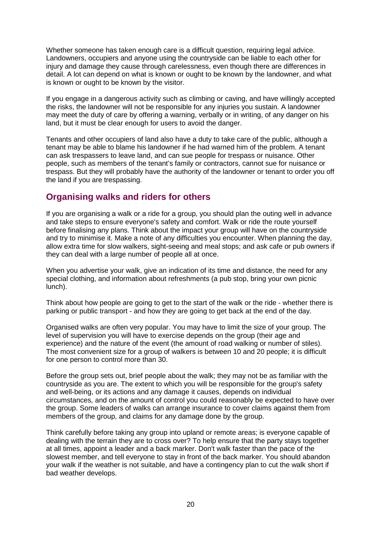Whether someone has taken enough care is a difficult question, requiring legal advice. Landowners, occupiers and anyone using the countryside can be liable to each other for injury and damage they cause through carelessness, even though there are differences in detail. A lot can depend on what is known or ought to be known by the landowner, and what is known or ought to be known by the visitor.

If you engage in a dangerous activity such as climbing or caving, and have willingly accepted the risks, the landowner will not be responsible for any injuries you sustain. A landowner may meet the duty of care by offering a warning, verbally or in writing, of any danger on his land, but it must be clear enough for users to avoid the danger.

Tenants and other occupiers of land also have a duty to take care of the public, although a tenant may be able to blame his landowner if he had warned him of the problem. A tenant can ask trespassers to leave land, and can sue people for trespass or nuisance. Other people, such as members of the tenant's family or contractors, cannot sue for nuisance or trespass. But they will probably have the authority of the landowner or tenant to order you off the land if you are trespassing.

### **Organising walks and riders for others**

If you are organising a walk or a ride for a group, you should plan the outing well in advance and take steps to ensure everyone's safety and comfort. Walk or ride the route yourself before finalising any plans. Think about the impact your group will have on the countryside and try to minimise it. Make a note of any difficulties you encounter. When planning the day, allow extra time for slow walkers, sight-seeing and meal stops; and ask cafe or pub owners if they can deal with a large number of people all at once.

When you advertise your walk, give an indication of its time and distance, the need for any special clothing, and information about refreshments (a pub stop, bring your own picnic lunch).

Think about how people are going to get to the start of the walk or the ride - whether there is parking or public transport - and how they are going to get back at the end of the day.

Organised walks are often very popular. You may have to limit the size of your group. The level of supervision you will have to exercise depends on the group (their age and experience) and the nature of the event (the amount of road walking or number of stiles). The most convenient size for a group of walkers is between 10 and 20 people; it is difficult for one person to control more than 30.

Before the group sets out, brief people about the walk; they may not be as familiar with the countryside as you are. The extent to which you will be responsible for the group's safety and well-being, or its actions and any damage it causes, depends on individual circumstances, and on the amount of control you could reasonably be expected to have over the group. Some leaders of walks can arrange insurance to cover claims against them from members of the group, and claims for any damage done by the group.

Think carefully before taking any group into upland or remote areas; is everyone capable of dealing with the terrain they are to cross over? To help ensure that the party stays together at all times, appoint a leader and a back marker. Don't walk faster than the pace of the slowest member, and tell everyone to stay in front of the back marker. You should abandon your walk if the weather is not suitable, and have a contingency plan to cut the walk short if bad weather develops.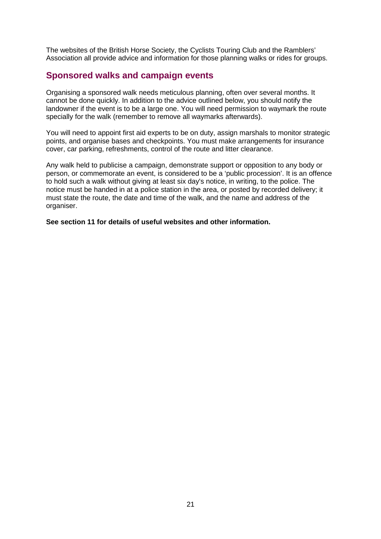The websites of the British Horse Society, the Cyclists Touring Club and the Ramblers' Association all provide advice and information for those planning walks or rides for groups.

### **Sponsored walks and campaign events**

Organising a sponsored walk needs meticulous planning, often over several months. It cannot be done quickly. In addition to the advice outlined below, you should notify the landowner if the event is to be a large one. You will need permission to waymark the route specially for the walk (remember to remove all waymarks afterwards).

You will need to appoint first aid experts to be on duty, assign marshals to monitor strategic points, and organise bases and checkpoints. You must make arrangements for insurance cover, car parking, refreshments, control of the route and litter clearance.

Any walk held to publicise a campaign, demonstrate support or opposition to any body or person, or commemorate an event, is considered to be a 'public procession'. It is an offence to hold such a walk without giving at least six day's notice, in writing, to the police. The notice must be handed in at a police station in the area, or posted by recorded delivery; it must state the route, the date and time of the walk, and the name and address of the organiser.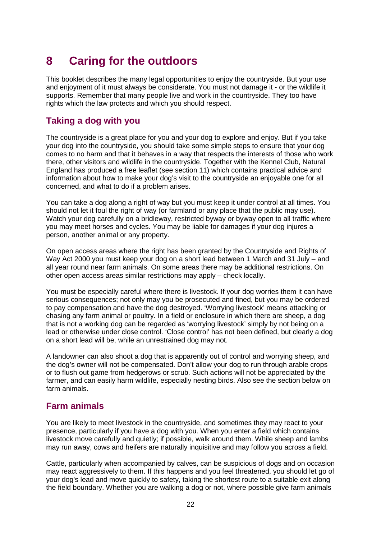# **8 Caring for the outdoors**

This booklet describes the many legal opportunities to enjoy the countryside. But your use and enjoyment of it must always be considerate. You must not damage it - or the wildlife it supports. Remember that many people live and work in the countryside. They too have rights which the law protects and which you should respect.

### **Taking a dog with you**

The countryside is a great place for you and your dog to explore and enjoy. But if you take your dog into the countryside, you should take some simple steps to ensure that your dog comes to no harm and that it behaves in a way that respects the interests of those who work there, other visitors and wildlife in the countryside. Together with the Kennel Club, Natural England has produced a free leaflet (see section 11) which contains practical advice and information about how to make your dog's visit to the countryside an enjoyable one for all concerned, and what to do if a problem arises.

You can take a dog along a right of way but you must keep it under control at all times. You should not let it foul the right of way (or farmland or any place that the public may use). Watch your dog carefully on a bridleway, restricted byway or byway open to all traffic where you may meet horses and cycles. You may be liable for damages if your dog injures a person, another animal or any property.

On open access areas where the right has been granted by the Countryside and Rights of Way Act 2000 you must keep your dog on a short lead between 1 March and 31 July – and all year round near farm animals. On some areas there may be additional restrictions. On other open access areas similar restrictions may apply – check locally.

You must be especially careful where there is livestock. If your dog worries them it can have serious consequences; not only may you be prosecuted and fined, but you may be ordered to pay compensation and have the dog destroyed. 'Worrying livestock' means attacking or chasing any farm animal or poultry. In a field or enclosure in which there are sheep, a dog that is not a working dog can be regarded as 'worrying livestock' simply by not being on a lead or otherwise under close control. 'Close control' has not been defined, but clearly a dog on a short lead will be, while an unrestrained dog may not.

A landowner can also shoot a dog that is apparently out of control and worrying sheep, and the dog's owner will not be compensated. Don't allow your dog to run through arable crops or to flush out game from hedgerows or scrub. Such actions will not be appreciated by the farmer, and can easily harm wildlife, especially nesting birds. Also see the section below on farm animals.

### **Farm animals**

You are likely to meet livestock in the countryside, and sometimes they may react to your presence, particularly if you have a dog with you. When you enter a field which contains livestock move carefully and quietly; if possible, walk around them. While sheep and lambs may run away, cows and heifers are naturally inquisitive and may follow you across a field.

Cattle, particularly when accompanied by calves, can be suspicious of dogs and on occasion may react aggressively to them. If this happens and you feel threatened, you should let go of your dog's lead and move quickly to safety, taking the shortest route to a suitable exit along the field boundary. Whether you are walking a dog or not, where possible give farm animals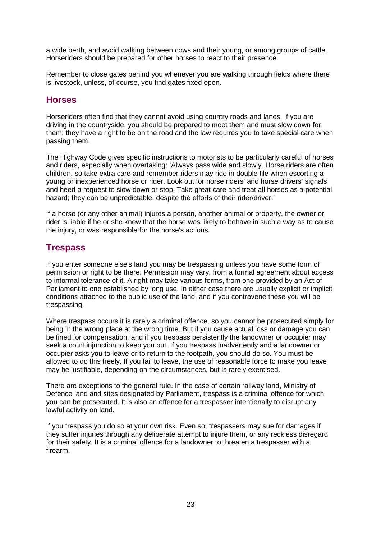a wide berth, and avoid walking between cows and their young, or among groups of cattle. Horseriders should be prepared for other horses to react to their presence.

Remember to close gates behind you whenever you are walking through fields where there is livestock, unless, of course, you find gates fixed open.

#### **Horses**

Horseriders often find that they cannot avoid using country roads and lanes. If you are driving in the countryside, you should be prepared to meet them and must slow down for them; they have a right to be on the road and the law requires you to take special care when passing them.

The Highway Code gives specific instructions to motorists to be particularly careful of horses and riders, especially when overtaking: 'Always pass wide and slowly. Horse riders are often children, so take extra care and remember riders may ride in double file when escorting a young or inexperienced horse or rider. Look out for horse riders' and horse drivers' signals and heed a request to slow down or stop. Take great care and treat all horses as a potential hazard; they can be unpredictable, despite the efforts of their rider/driver.'

If a horse (or any other animal) injures a person, another animal or property, the owner or rider is liable if he or she knew that the horse was likely to behave in such a way as to cause the injury, or was responsible for the horse's actions.

### **Trespass**

If you enter someone else's land you may be trespassing unless you have some form of permission or right to be there. Permission may vary, from a formal agreement about access to informal tolerance of it. A right may take various forms, from one provided by an Act of Parliament to one established by long use. In either case there are usually explicit or implicit conditions attached to the public use of the land, and if you contravene these you will be trespassing.

Where trespass occurs it is rarely a criminal offence, so you cannot be prosecuted simply for being in the wrong place at the wrong time. But if you cause actual loss or damage you can be fined for compensation, and if you trespass persistently the landowner or occupier may seek a court injunction to keep you out. If you trespass inadvertently and a landowner or occupier asks you to leave or to return to the footpath, you should do so. You must be allowed to do this freely. If you fail to leave, the use of reasonable force to make you leave may be justifiable, depending on the circumstances, but is rarely exercised.

There are exceptions to the general rule. In the case of certain railway land, Ministry of Defence land and sites designated by Parliament, trespass is a criminal offence for which you can be prosecuted. It is also an offence for a trespasser intentionally to disrupt any lawful activity on land.

If you trespass you do so at your own risk. Even so, trespassers may sue for damages if they suffer injuries through any deliberate attempt to injure them, or any reckless disregard for their safety. It is a criminal offence for a landowner to threaten a trespasser with a firearm.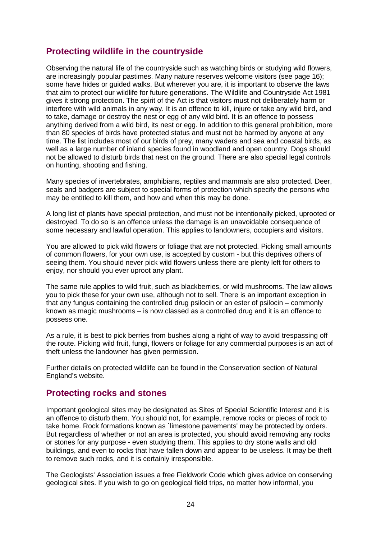# **Protecting wildlife in the countryside**

Observing the natural life of the countryside such as watching birds or studying wild flowers, are increasingly popular pastimes. Many nature reserves welcome visitors (see page 16); some have hides or guided walks. But wherever you are, it is important to observe the laws that aim to protect our wildlife for future generations. The Wildlife and Countryside Act 1981 gives it strong protection. The spirit of the Act is that visitors must not deliberately harm or interfere with wild animals in any way. It is an offence to kill, injure or take any wild bird, and to take, damage or destroy the nest or egg of any wild bird. It is an offence to possess anything derived from a wild bird, its nest or egg. In addition to this general prohibition, more than 80 species of birds have protected status and must not be harmed by anyone at any time. The list includes most of our birds of prey, many waders and sea and coastal birds, as well as a large number of inland species found in woodland and open country. Dogs should not be allowed to disturb birds that nest on the ground. There are also special legal controls on hunting, shooting and fishing.

Many species of invertebrates, amphibians, reptiles and mammals are also protected. Deer, seals and badgers are subject to special forms of protection which specify the persons who may be entitled to kill them, and how and when this may be done.

A long list of plants have special protection, and must not be intentionally picked, uprooted or destroyed. To do so is an offence unless the damage is an unavoidable consequence of some necessary and lawful operation. This applies to landowners, occupiers and visitors.

You are allowed to pick wild flowers or foliage that are not protected. Picking small amounts of common flowers, for your own use, is accepted by custom - but this deprives others of seeing them. You should never pick wild flowers unless there are plenty left for others to enjoy, nor should you ever uproot any plant.

The same rule applies to wild fruit, such as blackberries, or wild mushrooms. The law allows you to pick these for your own use, although not to sell. There is an important exception in that any fungus containing the controlled drug psilocin or an ester of psilocin – commonly known as magic mushrooms – is now classed as a controlled drug and it is an offence to possess one.

As a rule, it is best to pick berries from bushes along a right of way to avoid trespassing off the route. Picking wild fruit, fungi, flowers or foliage for any commercial purposes is an act of theft unless the landowner has given permission.

Further details on protected wildlife can be found in the Conservation section of Natural England's website.

### **Protecting rocks and stones**

Important geological sites may be designated as Sites of Special Scientific Interest and it is an offence to disturb them. You should not, for example, remove rocks or pieces of rock to take home. Rock formations known as `limestone pavements' may be protected by orders. But regardless of whether or not an area is protected, you should avoid removing any rocks or stones for any purpose - even studying them. This applies to dry stone walls and old buildings, and even to rocks that have fallen down and appear to be useless. It may be theft to remove such rocks, and it is certainly irresponsible.

The Geologists' Association issues a free Fieldwork Code which gives advice on conserving geological sites. If you wish to go on geological field trips, no matter how informal, you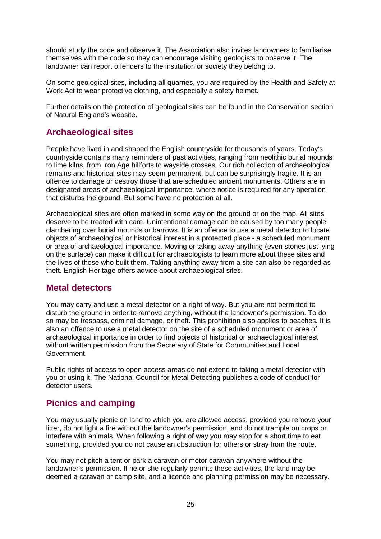should study the code and observe it. The Association also invites landowners to familiarise themselves with the code so they can encourage visiting geologists to observe it. The landowner can report offenders to the institution or society they belong to.

On some geological sites, including all quarries, you are required by the Health and Safety at Work Act to wear protective clothing, and especially a safety helmet.

Further details on the protection of geological sites can be found in the Conservation section of Natural England's website.

### **Archaeological sites**

People have lived in and shaped the English countryside for thousands of years. Today's countryside contains many reminders of past activities, ranging from neolithic burial mounds to lime kilns, from Iron Age hillforts to wayside crosses. Our rich collection of archaeological remains and historical sites may seem permanent, but can be surprisingly fragile. It is an offence to damage or destroy those that are scheduled ancient monuments. Others are in designated areas of archaeological importance, where notice is required for any operation that disturbs the ground. But some have no protection at all.

Archaeological sites are often marked in some way on the ground or on the map. All sites deserve to be treated with care. Unintentional damage can be caused by too many people clambering over burial mounds or barrows. It is an offence to use a metal detector to locate objects of archaeological or historical interest in a protected place - a scheduled monument or area of archaeological importance. Moving or taking away anything (even stones just lying on the surface) can make it difficult for archaeologists to learn more about these sites and the lives of those who built them. Taking anything away from a site can also be regarded as theft. English Heritage offers advice about archaeological sites.

#### **Metal detectors**

You may carry and use a metal detector on a right of way. But you are not permitted to disturb the ground in order to remove anything, without the landowner's permission. To do so may be trespass, criminal damage, or theft. This prohibition also applies to beaches. It is also an offence to use a metal detector on the site of a scheduled monument or area of archaeological importance in order to find objects of historical or archaeological interest without written permission from the Secretary of State for Communities and Local Government.

Public rights of access to open access areas do not extend to taking a metal detector with you or using it. The National Council for Metal Detecting publishes a code of conduct for detector users.

# **Picnics and camping**

You may usually picnic on land to which you are allowed access, provided you remove your litter, do not light a fire without the landowner's permission, and do not trample on crops or interfere with animals. When following a right of way you may stop for a short time to eat something, provided you do not cause an obstruction for others or stray from the route.

You may not pitch a tent or park a caravan or motor caravan anywhere without the landowner's permission. If he or she regularly permits these activities, the land may be deemed a caravan or camp site, and a licence and planning permission may be necessary.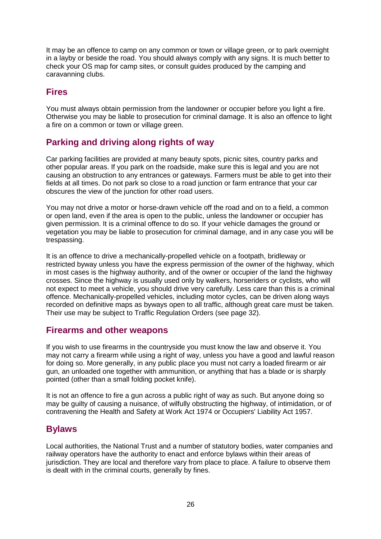It may be an offence to camp on any common or town or village green, or to park overnight in a layby or beside the road. You should always comply with any signs. It is much better to check your OS map for camp sites, or consult guides produced by the camping and caravanning clubs.

#### **Fires**

You must always obtain permission from the landowner or occupier before you light a fire. Otherwise you may be liable to prosecution for criminal damage. It is also an offence to light a fire on a common or town or village green.

# **Parking and driving along rights of way**

Car parking facilities are provided at many beauty spots, picnic sites, country parks and other popular areas. If you park on the roadside, make sure this is legal and you are not causing an obstruction to any entrances or gateways. Farmers must be able to get into their fields at all times. Do not park so close to a road junction or farm entrance that your car obscures the view of the junction for other road users.

You may not drive a motor or horse-drawn vehicle off the road and on to a field, a common or open land, even if the area is open to the public, unless the landowner or occupier has given permission. It is a criminal offence to do so. If your vehicle damages the ground or vegetation you may be liable to prosecution for criminal damage, and in any case you will be trespassing.

It is an offence to drive a mechanically-propelled vehicle on a footpath, bridleway or restricted byway unless you have the express permission of the owner of the highway, which in most cases is the highway authority, and of the owner or occupier of the land the highway crosses. Since the highway is usually used only by walkers, horseriders or cyclists, who will not expect to meet a vehicle, you should drive very carefully. Less care than this is a criminal offence. Mechanically-propelled vehicles, including motor cycles, can be driven along ways recorded on definitive maps as byways open to all traffic, although great care must be taken. Their use may be subject to Traffic Regulation Orders (see page 32).

### **Firearms and other weapons**

If you wish to use firearms in the countryside you must know the law and observe it. You may not carry a firearm while using a right of way, unless you have a good and lawful reason for doing so. More generally, in any public place you must not carry a loaded firearm or air gun, an unloaded one together with ammunition, or anything that has a blade or is sharply pointed (other than a small folding pocket knife).

It is not an offence to fire a gun across a public right of way as such. But anyone doing so may be guilty of causing a nuisance, of wilfully obstructing the highway, of intimidation, or of contravening the Health and Safety at Work Act 1974 or Occupiers' Liability Act 1957.

### **Bylaws**

Local authorities, the National Trust and a number of statutory bodies, water companies and railway operators have the authority to enact and enforce bylaws within their areas of jurisdiction. They are local and therefore vary from place to place. A failure to observe them is dealt with in the criminal courts, generally by fines.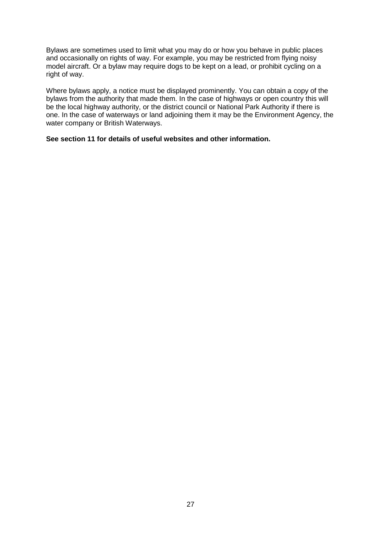Bylaws are sometimes used to limit what you may do or how you behave in public places and occasionally on rights of way. For example, you may be restricted from flying noisy model aircraft. Or a bylaw may require dogs to be kept on a lead, or prohibit cycling on a right of way.

Where bylaws apply, a notice must be displayed prominently. You can obtain a copy of the bylaws from the authority that made them. In the case of highways or open country this will be the local highway authority, or the district council or National Park Authority if there is one. In the case of waterways or land adjoining them it may be the Environment Agency, the water company or British Waterways.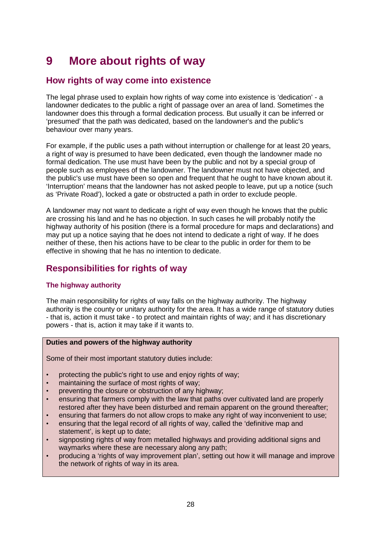# **9 More about rights of way**

# **How rights of way come into existence**

The legal phrase used to explain how rights of way come into existence is 'dedication' - a landowner dedicates to the public a right of passage over an area of land. Sometimes the landowner does this through a formal dedication process. But usually it can be inferred or 'presumed' that the path was dedicated, based on the landowner's and the public's behaviour over many years.

For example, if the public uses a path without interruption or challenge for at least 20 years, a right of way is presumed to have been dedicated, even though the landowner made no formal dedication. The use must have been by the public and not by a special group of people such as employees of the landowner. The landowner must not have objected, and the public's use must have been so open and frequent that he ought to have known about it. 'Interruption' means that the landowner has not asked people to leave, put up a notice (such as 'Private Road'), locked a gate or obstructed a path in order to exclude people.

A landowner may not want to dedicate a right of way even though he knows that the public are crossing his land and he has no objection. In such cases he will probably notify the highway authority of his position (there is a formal procedure for maps and declarations) and may put up a notice saying that he does not intend to dedicate a right of way. If he does neither of these, then his actions have to be clear to the public in order for them to be effective in showing that he has no intention to dedicate.

# **Responsibilities for rights of way**

#### **The highway authority**

The main responsibility for rights of way falls on the highway authority. The highway authority is the county or unitary authority for the area. It has a wide range of statutory duties - that is, action it must take - to protect and maintain rights of way; and it has discretionary powers - that is, action it may take if it wants to.

#### **Duties and powers of the highway authority**

Some of their most important statutory duties include:

- protecting the public's right to use and enjoy rights of way;
- maintaining the surface of most rights of way;
- preventing the closure or obstruction of any highway;
- ensuring that farmers comply with the law that paths over cultivated land are properly restored after they have been disturbed and remain apparent on the ground thereafter;
- ensuring that farmers do not allow crops to make any right of way inconvenient to use;
- ensuring that the legal record of all rights of way, called the 'definitive map and statement', is kept up to date;
- signposting rights of way from metalled highways and providing additional signs and waymarks where these are necessary along any path;
- producing a 'rights of way improvement plan', setting out how it will manage and improve the network of rights of way in its area.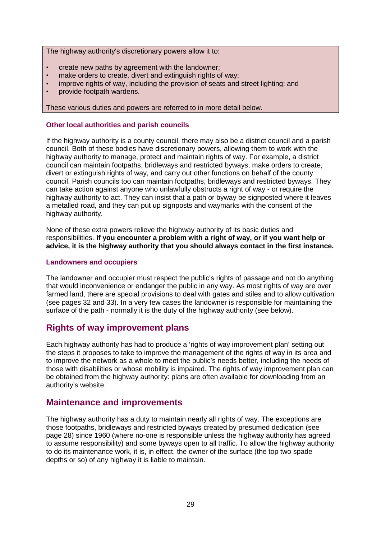The highway authority's discretionary powers allow it to:

- create new paths by agreement with the landowner;
- make orders to create, divert and extinguish rights of way;
- improve rights of way, including the provision of seats and street lighting; and
- provide footpath wardens.

These various duties and powers are referred to in more detail below.

#### **Other local authorities and parish councils**

If the highway authority is a county council, there may also be a district council and a parish council. Both of these bodies have discretionary powers, allowing them to work with the highway authority to manage, protect and maintain rights of way. For example, a district council can maintain footpaths, bridleways and restricted byways, make orders to create, divert or extinguish rights of way, and carry out other functions on behalf of the county council. Parish councils too can maintain footpaths, bridleways and restricted byways. They can take action against anyone who unlawfully obstructs a right of way - or require the highway authority to act. They can insist that a path or byway be signposted where it leaves a metalled road, and they can put up signposts and waymarks with the consent of the highway authority.

None of these extra powers relieve the highway authority of its basic duties and responsibilities. **If you encounter a problem with a right of way, or if you want help or advice, it is the highway authority that you should always contact in the first instance.**

#### **Landowners and occupiers**

The landowner and occupier must respect the public's rights of passage and not do anything that would inconvenience or endanger the public in any way. As most rights of way are over farmed land, there are special provisions to deal with gates and stiles and to allow cultivation (see pages 32 and 33). In a very few cases the landowner is responsible for maintaining the surface of the path - normally it is the duty of the highway authority (see below).

#### **Rights of way improvement plans**

Each highway authority has had to produce a 'rights of way improvement plan' setting out the steps it proposes to take to improve the management of the rights of way in its area and to improve the network as a whole to meet the public's needs better, including the needs of those with disabilities or whose mobility is impaired. The rights of way improvement plan can be obtained from the highway authority: plans are often available for downloading from an authority's website.

#### **Maintenance and improvements**

The highway authority has a duty to maintain nearly all rights of way. The exceptions are those footpaths, bridleways and restricted byways created by presumed dedication (see page 28) since 1960 (where no-one is responsible unless the highway authority has agreed to assume responsibility) and some byways open to all traffic. To allow the highway authority to do its maintenance work, it is, in effect, the owner of the surface (the top two spade depths or so) of any highway it is liable to maintain.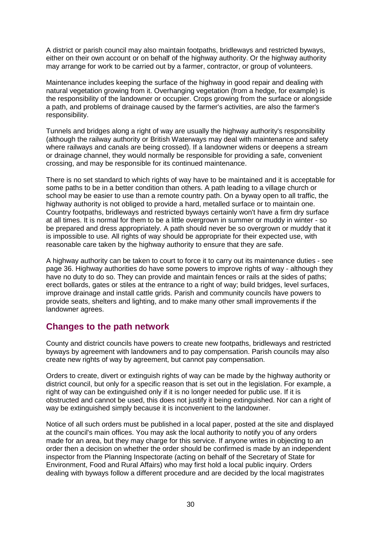A district or parish council may also maintain footpaths, bridleways and restricted byways, either on their own account or on behalf of the highway authority. Or the highway authority may arrange for work to be carried out by a farmer, contractor, or group of volunteers.

Maintenance includes keeping the surface of the highway in good repair and dealing with natural vegetation growing from it. Overhanging vegetation (from a hedge, for example) is the responsibility of the landowner or occupier. Crops growing from the surface or alongside a path, and problems of drainage caused by the farmer's activities, are also the farmer's responsibility.

Tunnels and bridges along a right of way are usually the highway authority's responsibility (although the railway authority or British Waterways may deal with maintenance and safety where railways and canals are being crossed). If a landowner widens or deepens a stream or drainage channel, they would normally be responsible for providing a safe, convenient crossing, and may be responsible for its continued maintenance.

There is no set standard to which rights of way have to be maintained and it is acceptable for some paths to be in a better condition than others. A path leading to a village church or school may be easier to use than a remote country path. On a byway open to all traffic, the highway authority is not obliged to provide a hard, metalled surface or to maintain one. Country footpaths, bridleways and restricted byways certainly won't have a firm dry surface at all times. It is normal for them to be a little overgrown in summer or muddy in winter - so be prepared and dress appropriately. A path should never be so overgrown or muddy that it is impossible to use. All rights of way should be appropriate for their expected use, with reasonable care taken by the highway authority to ensure that they are safe.

A highway authority can be taken to court to force it to carry out its maintenance duties - see page 36. Highway authorities do have some powers to improve rights of way - although they have no duty to do so. They can provide and maintain fences or rails at the sides of paths; erect bollards, gates or stiles at the entrance to a right of way; build bridges, level surfaces, improve drainage and install cattle grids. Parish and community councils have powers to provide seats, shelters and lighting, and to make many other small improvements if the landowner agrees.

### **Changes to the path network**

County and district councils have powers to create new footpaths, bridleways and restricted byways by agreement with landowners and to pay compensation. Parish councils may also create new rights of way by agreement, but cannot pay compensation.

Orders to create, divert or extinguish rights of way can be made by the highway authority or district council, but only for a specific reason that is set out in the legislation. For example, a right of way can be extinguished only if it is no longer needed for public use. If it is obstructed and cannot be used, this does not justify it being extinguished. Nor can a right of way be extinguished simply because it is inconvenient to the landowner.

Notice of all such orders must be published in a local paper, posted at the site and displayed at the council's main offices. You may ask the local authority to notify you of any orders made for an area, but they may charge for this service. If anyone writes in objecting to an order then a decision on whether the order should be confirmed is made by an independent inspector from the Planning Inspectorate (acting on behalf of the Secretary of State for Environment, Food and Rural Affairs) who may first hold a local public inquiry. Orders dealing with byways follow a different procedure and are decided by the local magistrates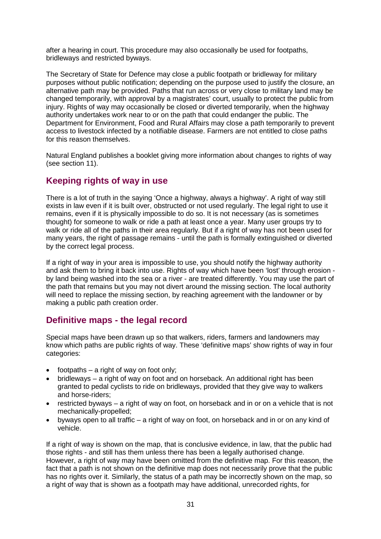after a hearing in court. This procedure may also occasionally be used for footpaths, bridleways and restricted byways.

The Secretary of State for Defence may close a public footpath or bridleway for military purposes without public notification; depending on the purpose used to justify the closure, an alternative path may be provided. Paths that run across or very close to military land may be changed temporarily, with approval by a magistrates' court, usually to protect the public from injury. Rights of way may occasionally be closed or diverted temporarily, when the highway authority undertakes work near to or on the path that could endanger the public. The Department for Environment, Food and Rural Affairs may close a path temporarily to prevent access to livestock infected by a notifiable disease. Farmers are not entitled to close paths for this reason themselves.

Natural England publishes a booklet giving more information about changes to rights of way (see section 11).

### **Keeping rights of way in use**

There is a lot of truth in the saying 'Once a highway, always a highway'. A right of way still exists in law even if it is built over, obstructed or not used regularly. The legal right to use it remains, even if it is physically impossible to do so. It is not necessary (as is sometimes thought) for someone to walk or ride a path at least once a year. Many user groups try to walk or ride all of the paths in their area regularly. But if a right of way has not been used for many years, the right of passage remains - until the path is formally extinguished or diverted by the correct legal process.

If a right of way in your area is impossible to use, you should notify the highway authority and ask them to bring it back into use. Rights of way which have been 'lost' through erosion by land being washed into the sea or a river - are treated differently. You may use the part of the path that remains but you may not divert around the missing section. The local authority will need to replace the missing section, by reaching agreement with the landowner or by making a public path creation order.

### **Definitive maps - the legal record**

Special maps have been drawn up so that walkers, riders, farmers and landowners may know which paths are public rights of way. These 'definitive maps' show rights of way in four categories:

- $\bullet$  footpaths a right of way on foot only;
- bridleways a right of way on foot and on horseback. An additional right has been granted to pedal cyclists to ride on bridleways, provided that they give way to walkers and horse-riders;
- restricted byways a right of way on foot, on horseback and in or on a vehicle that is not mechanically-propelled;
- byways open to all traffic a right of way on foot, on horseback and in or on any kind of vehicle.

If a right of way is shown on the map, that is conclusive evidence, in law, that the public had those rights - and still has them unless there has been a legally authorised change. However, a right of way may have been omitted from the definitive map. For this reason, the fact that a path is not shown on the definitive map does not necessarily prove that the public has no rights over it. Similarly, the status of a path may be incorrectly shown on the map, so a right of way that is shown as a footpath may have additional, unrecorded rights, for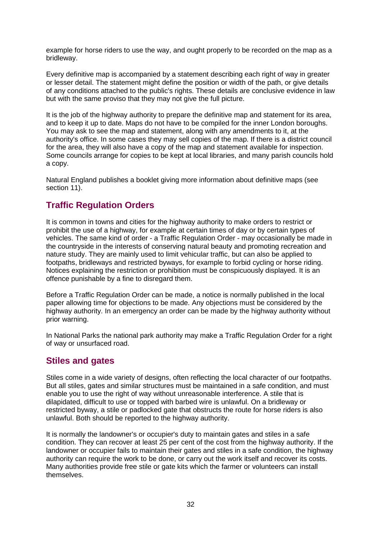example for horse riders to use the way, and ought properly to be recorded on the map as a bridleway.

Every definitive map is accompanied by a statement describing each right of way in greater or lesser detail. The statement might define the position or width of the path, or give details of any conditions attached to the public's rights. These details are conclusive evidence in law but with the same proviso that they may not give the full picture.

It is the job of the highway authority to prepare the definitive map and statement for its area, and to keep it up to date. Maps do not have to be compiled for the inner London boroughs. You may ask to see the map and statement, along with any amendments to it, at the authority's office. In some cases they may sell copies of the map. If there is a district council for the area, they will also have a copy of the map and statement available for inspection. Some councils arrange for copies to be kept at local libraries, and many parish councils hold a copy.

Natural England publishes a booklet giving more information about definitive maps (see section 11).

# **Traffic Regulation Orders**

It is common in towns and cities for the highway authority to make orders to restrict or prohibit the use of a highway, for example at certain times of day or by certain types of vehicles. The same kind of order - a Traffic Regulation Order - may occasionally be made in the countryside in the interests of conserving natural beauty and promoting recreation and nature study. They are mainly used to limit vehicular traffic, but can also be applied to footpaths, bridleways and restricted byways, for example to forbid cycling or horse riding. Notices explaining the restriction or prohibition must be conspicuously displayed. It is an offence punishable by a fine to disregard them.

Before a Traffic Regulation Order can be made, a notice is normally published in the local paper allowing time for objections to be made. Any objections must be considered by the highway authority. In an emergency an order can be made by the highway authority without prior warning.

In National Parks the national park authority may make a Traffic Regulation Order for a right of way or unsurfaced road.

#### **Stiles and gates**

Stiles come in a wide variety of designs, often reflecting the local character of our footpaths. But all stiles, gates and similar structures must be maintained in a safe condition, and must enable you to use the right of way without unreasonable interference. A stile that is dilapidated, difficult to use or topped with barbed wire is unlawful. On a bridleway or restricted byway, a stile or padlocked gate that obstructs the route for horse riders is also unlawful. Both should be reported to the highway authority.

It is normally the landowner's or occupier's duty to maintain gates and stiles in a safe condition. They can recover at least 25 per cent of the cost from the highway authority. If the landowner or occupier fails to maintain their gates and stiles in a safe condition, the highway authority can require the work to be done, or carry out the work itself and recover its costs. Many authorities provide free stile or gate kits which the farmer or volunteers can install themselves.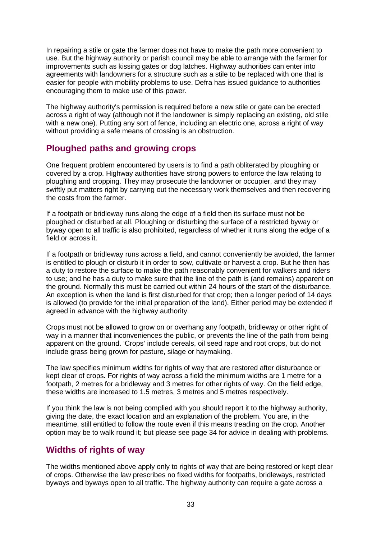In repairing a stile or gate the farmer does not have to make the path more convenient to use. But the highway authority or parish council may be able to arrange with the farmer for improvements such as kissing gates or dog latches. Highway authorities can enter into agreements with landowners for a structure such as a stile to be replaced with one that is easier for people with mobility problems to use. Defra has issued guidance to authorities encouraging them to make use of this power.

The highway authority's permission is required before a new stile or gate can be erected across a right of way (although not if the landowner is simply replacing an existing, old stile with a new one). Putting any sort of fence, including an electric one, across a right of way without providing a safe means of crossing is an obstruction.

### **Ploughed paths and growing crops**

One frequent problem encountered by users is to find a path obliterated by ploughing or covered by a crop. Highway authorities have strong powers to enforce the law relating to ploughing and cropping. They may prosecute the landowner or occupier, and they may swiftly put matters right by carrying out the necessary work themselves and then recovering the costs from the farmer.

If a footpath or bridleway runs along the edge of a field then its surface must not be ploughed or disturbed at all. Ploughing or disturbing the surface of a restricted byway or byway open to all traffic is also prohibited, regardless of whether it runs along the edge of a field or across it.

If a footpath or bridleway runs across a field, and cannot conveniently be avoided, the farmer is entitled to plough or disturb it in order to sow, cultivate or harvest a crop. But he then has a duty to restore the surface to make the path reasonably convenient for walkers and riders to use; and he has a duty to make sure that the line of the path is (and remains) apparent on the ground. Normally this must be carried out within 24 hours of the start of the disturbance. An exception is when the land is first disturbed for that crop; then a longer period of 14 days is allowed (to provide for the initial preparation of the land). Either period may be extended if agreed in advance with the highway authority.

Crops must not be allowed to grow on or overhang any footpath, bridleway or other right of way in a manner that inconveniences the public, or prevents the line of the path from being apparent on the ground. 'Crops' include cereals, oil seed rape and root crops, but do not include grass being grown for pasture, silage or haymaking.

The law specifies minimum widths for rights of way that are restored after disturbance or kept clear of crops. For rights of way across a field the minimum widths are 1 metre for a footpath, 2 metres for a bridleway and 3 metres for other rights of way. On the field edge, these widths are increased to 1.5 metres, 3 metres and 5 metres respectively.

If you think the law is not being complied with you should report it to the highway authority, giving the date, the exact location and an explanation of the problem. You are, in the meantime, still entitled to follow the route even if this means treading on the crop. Another option may be to walk round it; but please see page 34 for advice in dealing with problems.

# **Widths of rights of way**

The widths mentioned above apply only to rights of way that are being restored or kept clear of crops. Otherwise the law prescribes no fixed widths for footpaths, bridleways, restricted byways and byways open to all traffic. The highway authority can require a gate across a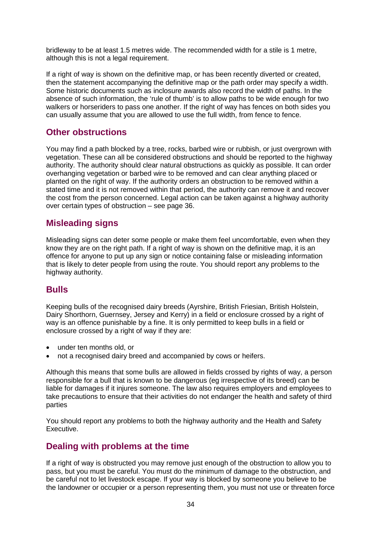bridleway to be at least 1.5 metres wide. The recommended width for a stile is 1 metre, although this is not a legal requirement.

If a right of way is shown on the definitive map, or has been recently diverted or created, then the statement accompanying the definitive map or the path order may specify a width. Some historic documents such as inclosure awards also record the width of paths. In the absence of such information, the 'rule of thumb' is to allow paths to be wide enough for two walkers or horseriders to pass one another. If the right of way has fences on both sides you can usually assume that you are allowed to use the full width, from fence to fence.

### **Other obstructions**

You may find a path blocked by a tree, rocks, barbed wire or rubbish, or just overgrown with vegetation. These can all be considered obstructions and should be reported to the highway authority. The authority should clear natural obstructions as quickly as possible. It can order overhanging vegetation or barbed wire to be removed and can clear anything placed or planted on the right of way. If the authority orders an obstruction to be removed within a stated time and it is not removed within that period, the authority can remove it and recover the cost from the person concerned. Legal action can be taken against a highway authority over certain types of obstruction – see page 36.

### **Misleading signs**

Misleading signs can deter some people or make them feel uncomfortable, even when they know they are on the right path. If a right of way is shown on the definitive map, it is an offence for anyone to put up any sign or notice containing false or misleading information that is likely to deter people from using the route. You should report any problems to the highway authority.

### **Bulls**

Keeping bulls of the recognised dairy breeds (Ayrshire, British Friesian, British Holstein, Dairy Shorthorn, Guernsey, Jersey and Kerry) in a field or enclosure crossed by a right of way is an offence punishable by a fine. It is only permitted to keep bulls in a field or enclosure crossed by a right of way if they are:

- under ten months old, or
- not a recognised dairy breed and accompanied by cows or heifers.

Although this means that some bulls are allowed in fields crossed by rights of way, a person responsible for a bull that is known to be dangerous (eg irrespective of its breed) can be liable for damages if it injures someone. The law also requires employers and employees to take precautions to ensure that their activities do not endanger the health and safety of third parties

You should report any problems to both the highway authority and the Health and Safety Executive.

### **Dealing with problems at the time**

If a right of way is obstructed you may remove just enough of the obstruction to allow you to pass, but you must be careful. You must do the minimum of damage to the obstruction, and be careful not to let livestock escape. If your way is blocked by someone you believe to be the landowner or occupier or a person representing them, you must not use or threaten force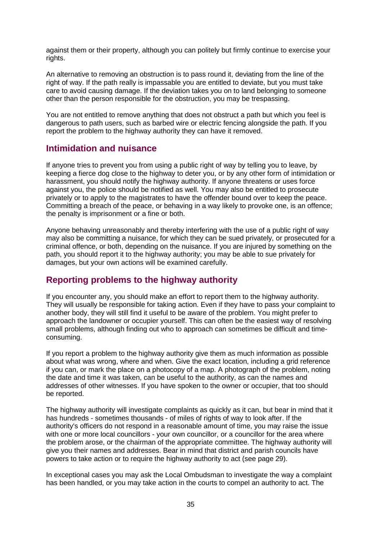against them or their property, although you can politely but firmly continue to exercise your rights.

An alternative to removing an obstruction is to pass round it, deviating from the line of the right of way. If the path really is impassable you are entitled to deviate, but you must take care to avoid causing damage. If the deviation takes you on to land belonging to someone other than the person responsible for the obstruction, you may be trespassing.

You are not entitled to remove anything that does not obstruct a path but which you feel is dangerous to path users, such as barbed wire or electric fencing alongside the path. If you report the problem to the highway authority they can have it removed.

#### **Intimidation and nuisance**

If anyone tries to prevent you from using a public right of way by telling you to leave, by keeping a fierce dog close to the highway to deter you, or by any other form of intimidation or harassment, you should notify the highway authority. If anyone threatens or uses force against you, the police should be notified as well. You may also be entitled to prosecute privately or to apply to the magistrates to have the offender bound over to keep the peace. Committing a breach of the peace, or behaving in a way likely to provoke one, is an offence; the penalty is imprisonment or a fine or both.

Anyone behaving unreasonably and thereby interfering with the use of a public right of way may also be committing a nuisance, for which they can be sued privately, or prosecuted for a criminal offence, or both, depending on the nuisance. If you are injured by something on the path, you should report it to the highway authority; you may be able to sue privately for damages, but your own actions will be examined carefully.

### **Reporting problems to the highway authority**

If you encounter any, you should make an effort to report them to the highway authority. They will usually be responsible for taking action. Even if they have to pass your complaint to another body, they will still find it useful to be aware of the problem. You might prefer to approach the landowner or occupier yourself. This can often be the easiest way of resolving small problems, although finding out who to approach can sometimes be difficult and timeconsuming.

If you report a problem to the highway authority give them as much information as possible about what was wrong, where and when. Give the exact location, including a grid reference if you can, or mark the place on a photocopy of a map. A photograph of the problem, noting the date and time it was taken, can be useful to the authority, as can the names and addresses of other witnesses. If you have spoken to the owner or occupier, that too should be reported.

The highway authority will investigate complaints as quickly as it can, but bear in mind that it has hundreds - sometimes thousands - of miles of rights of way to look after. If the authority's officers do not respond in a reasonable amount of time, you may raise the issue with one or more local councillors - your own councillor, or a councillor for the area where the problem arose, or the chairman of the appropriate committee. The highway authority will give you their names and addresses. Bear in mind that district and parish councils have powers to take action or to require the highway authority to act (see page 29).

In exceptional cases you may ask the Local Ombudsman to investigate the way a complaint has been handled, or you may take action in the courts to compel an authority to act. The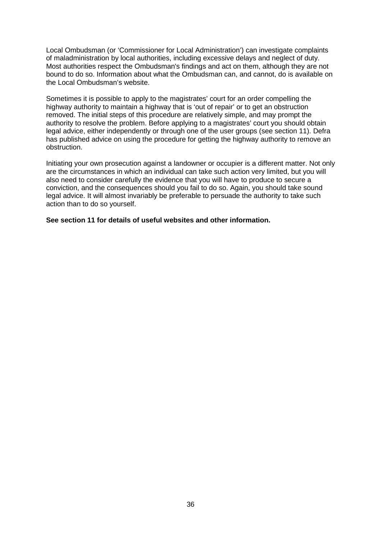Local Ombudsman (or 'Commissioner for Local Administration') can investigate complaints of maladministration by local authorities, including excessive delays and neglect of duty. Most authorities respect the Ombudsman's findings and act on them, although they are not bound to do so. Information about what the Ombudsman can, and cannot, do is available on the Local Ombudsman's website.

Sometimes it is possible to apply to the magistrates' court for an order compelling the highway authority to maintain a highway that is 'out of repair' or to get an obstruction removed. The initial steps of this procedure are relatively simple, and may prompt the authority to resolve the problem. Before applying to a magistrates' court you should obtain legal advice, either independently or through one of the user groups (see section 11). Defra has published advice on using the procedure for getting the highway authority to remove an obstruction.

Initiating your own prosecution against a landowner or occupier is a different matter. Not only are the circumstances in which an individual can take such action very limited, but you will also need to consider carefully the evidence that you will have to produce to secure a conviction, and the consequences should you fail to do so. Again, you should take sound legal advice. It will almost invariably be preferable to persuade the authority to take such action than to do so yourself.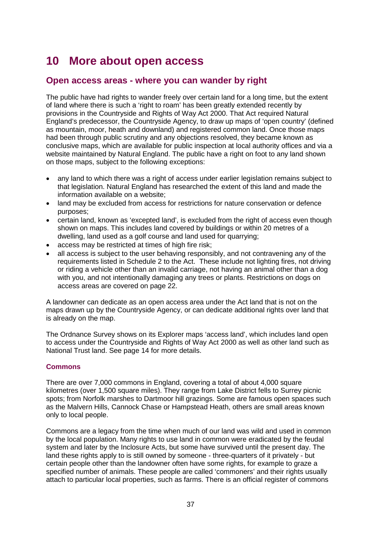# **10 More about open access**

### **Open access areas - where you can wander by right**

The public have had rights to wander freely over certain land for a long time, but the extent of land where there is such a 'right to roam' has been greatly extended recently by provisions in the Countryside and Rights of Way Act 2000. That Act required Natural England's predecessor, the Countryside Agency, to draw up maps of 'open country' (defined as mountain, moor, heath and downland) and registered common land. Once those maps had been through public scrutiny and any objections resolved, they became known as conclusive maps, which are available for public inspection at local authority offices and via a website maintained by Natural England. The public have a right on foot to any land shown on those maps, subject to the following exceptions:

- any land to which there was a right of access under earlier legislation remains subject to that legislation. Natural England has researched the extent of this land and made the information available on a website;
- land may be excluded from access for restrictions for nature conservation or defence purposes;
- certain land, known as 'excepted land', is excluded from the right of access even though shown on maps. This includes land covered by buildings or within 20 metres of a dwelling, land used as a golf course and land used for quarrying;
- access may be restricted at times of high fire risk;
- all access is subject to the user behaving responsibly, and not contravening any of the requirements listed in Schedule 2 to the Act. These include not lighting fires, not driving or riding a vehicle other than an invalid carriage, not having an animal other than a dog with you, and not intentionally damaging any trees or plants. Restrictions on dogs on access areas are covered on page 22.

A landowner can dedicate as an open access area under the Act land that is not on the maps drawn up by the Countryside Agency, or can dedicate additional rights over land that is already on the map.

The Ordnance Survey shows on its Explorer maps 'access land', which includes land open to access under the Countryside and Rights of Way Act 2000 as well as other land such as National Trust land. See page 14 for more details.

#### **Commons**

There are over 7,000 commons in England, covering a total of about 4,000 square kilometres (over 1,500 square miles). They range from Lake District fells to Surrey picnic spots; from Norfolk marshes to Dartmoor hill grazings. Some are famous open spaces such as the Malvern Hills, Cannock Chase or Hampstead Heath, others are small areas known only to local people.

Commons are a legacy from the time when much of our land was wild and used in common by the local population. Many rights to use land in common were eradicated by the feudal system and later by the Inclosure Acts, but some have survived until the present day. The land these rights apply to is still owned by someone - three-quarters of it privately - but certain people other than the landowner often have some rights, for example to graze a specified number of animals. These people are called 'commoners' and their rights usually attach to particular local properties, such as farms. There is an official register of commons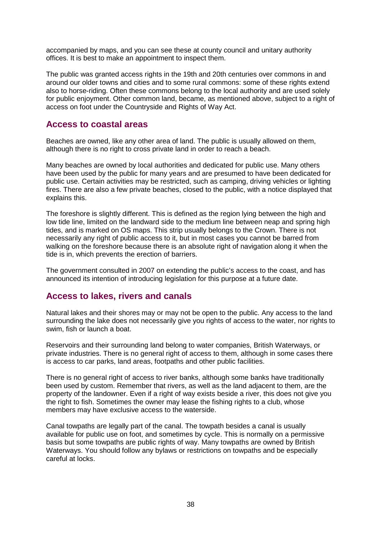accompanied by maps, and you can see these at county council and unitary authority offices. It is best to make an appointment to inspect them.

The public was granted access rights in the 19th and 20th centuries over commons in and around our older towns and cities and to some rural commons: some of these rights extend also to horse-riding. Often these commons belong to the local authority and are used solely for public enjoyment. Other common land, became, as mentioned above, subject to a right of access on foot under the Countryside and Rights of Way Act.

#### **Access to coastal areas**

Beaches are owned, like any other area of land. The public is usually allowed on them, although there is no right to cross private land in order to reach a beach.

Many beaches are owned by local authorities and dedicated for public use. Many others have been used by the public for many years and are presumed to have been dedicated for public use. Certain activities may be restricted, such as camping, driving vehicles or lighting fires. There are also a few private beaches, closed to the public, with a notice displayed that explains this.

The foreshore is slightly different. This is defined as the region lying between the high and low tide line, limited on the landward side to the medium line between neap and spring high tides, and is marked on OS maps. This strip usually belongs to the Crown. There is not necessarily any right of public access to it, but in most cases you cannot be barred from walking on the foreshore because there is an absolute right of navigation along it when the tide is in, which prevents the erection of barriers.

The government consulted in 2007 on extending the public's access to the coast, and has announced its intention of introducing legislation for this purpose at a future date.

#### **Access to lakes, rivers and canals**

Natural lakes and their shores may or may not be open to the public. Any access to the land surrounding the lake does not necessarily give you rights of access to the water, nor rights to swim, fish or launch a boat.

Reservoirs and their surrounding land belong to water companies, British Waterways, or private industries. There is no general right of access to them, although in some cases there is access to car parks, land areas, footpaths and other public facilities.

There is no general right of access to river banks, although some banks have traditionally been used by custom. Remember that rivers, as well as the land adjacent to them, are the property of the landowner. Even if a right of way exists beside a river, this does not give you the right to fish. Sometimes the owner may lease the fishing rights to a club, whose members may have exclusive access to the waterside.

Canal towpaths are legally part of the canal. The towpath besides a canal is usually available for public use on foot, and sometimes by cycle. This is normally on a permissive basis but some towpaths are public rights of way. Many towpaths are owned by British Waterways. You should follow any bylaws or restrictions on towpaths and be especially careful at locks.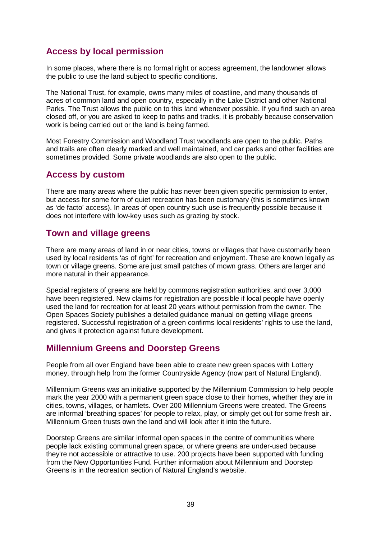# **Access by local permission**

In some places, where there is no formal right or access agreement, the landowner allows the public to use the land subject to specific conditions.

The National Trust, for example, owns many miles of coastline, and many thousands of acres of common land and open country, especially in the Lake District and other National Parks. The Trust allows the public on to this land whenever possible. If you find such an area closed off, or you are asked to keep to paths and tracks, it is probably because conservation work is being carried out or the land is being farmed.

Most Forestry Commission and Woodland Trust woodlands are open to the public. Paths and trails are often clearly marked and well maintained, and car parks and other facilities are sometimes provided. Some private woodlands are also open to the public.

### **Access by custom**

There are many areas where the public has never been given specific permission to enter, but access for some form of quiet recreation has been customary (this is sometimes known as 'de facto' access). In areas of open country such use is frequently possible because it does not interfere with low-key uses such as grazing by stock.

### **Town and village greens**

There are many areas of land in or near cities, towns or villages that have customarily been used by local residents 'as of right' for recreation and enjoyment. These are known legally as town or village greens. Some are just small patches of mown grass. Others are larger and more natural in their appearance.

Special registers of greens are held by commons registration authorities, and over 3,000 have been registered. New claims for registration are possible if local people have openly used the land for recreation for at least 20 years without permission from the owner. The Open Spaces Society publishes a detailed guidance manual on getting village greens registered. Successful registration of a green confirms local residents' rights to use the land, and gives it protection against future development.

### **Millennium Greens and Doorstep Greens**

People from all over England have been able to create new green spaces with Lottery money, through help from the former Countryside Agency (now part of Natural England).

Millennium Greens was an initiative supported by the Millennium Commission to help people mark the year 2000 with a permanent green space close to their homes, whether they are in cities, towns, villages, or hamlets. Over 200 Millennium Greens were created. The Greens are informal 'breathing spaces' for people to relax, play, or simply get out for some fresh air. Millennium Green trusts own the land and will look after it into the future.

Doorstep Greens are similar informal open spaces in the centre of communities where people lack existing communal green space, or where greens are under-used because they're not accessible or attractive to use. 200 projects have been supported with funding from the New Opportunities Fund. Further information about Millennium and Doorstep Greens is in the recreation section of Natural England's website.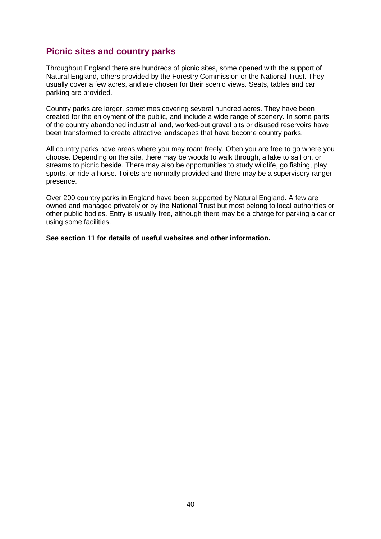# **Picnic sites and country parks**

Throughout England there are hundreds of picnic sites, some opened with the support of Natural England, others provided by the Forestry Commission or the National Trust. They usually cover a few acres, and are chosen for their scenic views. Seats, tables and car parking are provided.

Country parks are larger, sometimes covering several hundred acres. They have been created for the enjoyment of the public, and include a wide range of scenery. In some parts of the country abandoned industrial land, worked-out gravel pits or disused reservoirs have been transformed to create attractive landscapes that have become country parks.

All country parks have areas where you may roam freely. Often you are free to go where you choose. Depending on the site, there may be woods to walk through, a lake to sail on, or streams to picnic beside. There may also be opportunities to study wildlife, go fishing, play sports, or ride a horse. Toilets are normally provided and there may be a supervisory ranger presence.

Over 200 country parks in England have been supported by Natural England. A few are owned and managed privately or by the National Trust but most belong to local authorities or other public bodies. Entry is usually free, although there may be a charge for parking a car or using some facilities.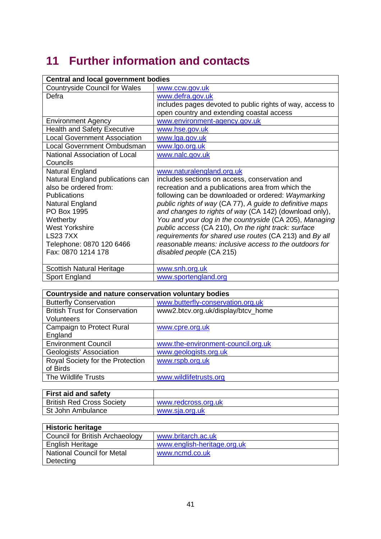# **11 Further information and contacts**

| <b>Central and local government bodies</b> |                                                           |  |
|--------------------------------------------|-----------------------------------------------------------|--|
| <b>Countryside Council for Wales</b>       | www.ccw.gov.uk                                            |  |
| Defra                                      | www.defra.gov.uk                                          |  |
|                                            | includes pages devoted to public rights of way, access to |  |
|                                            | open country and extending coastal access                 |  |
| <b>Environment Agency</b>                  | www.environment-agency.gov.uk                             |  |
| <b>Health and Safety Executive</b>         | www.hse.gov.uk                                            |  |
| <b>Local Government Association</b>        | www.lga.gov.uk                                            |  |
| <b>Local Government Ombudsman</b>          | www.lgo.org.uk                                            |  |
| National Association of Local              | www.nalc.gov.uk                                           |  |
| Councils                                   |                                                           |  |
| Natural England                            | www.naturalengland.org.uk                                 |  |
| Natural England publications can           | includes sections on access, conservation and             |  |
| also be ordered from:                      | recreation and a publications area from which the         |  |
| <b>Publications</b>                        | following can be downloaded or ordered: Waymarking        |  |
| Natural England                            | public rights of way (CA 77), A guide to definitive maps  |  |
| PO Box 1995                                | and changes to rights of way (CA 142) (download only),    |  |
| Wetherby                                   | You and your dog in the countryside (CA 205), Managing    |  |
| <b>West Yorkshire</b>                      | public access (CA 210), On the right track: surface       |  |
| <b>LS237XX</b>                             | requirements for shared use routes (CA 213) and By all    |  |
| Telephone: 0870 120 6466                   | reasonable means: inclusive access to the outdoors for    |  |
| Fax: 0870 1214 178                         | disabled people (CA 215)                                  |  |
|                                            |                                                           |  |
| <b>Scottish Natural Heritage</b>           | www.snh.org.uk                                            |  |
| Sport England                              | www.sportengland.org                                      |  |

| Countryside and nature conservation voluntary bodies |                                    |  |  |
|------------------------------------------------------|------------------------------------|--|--|
| <b>Butterfly Conservation</b>                        | www.butterfly-conservation.org.uk  |  |  |
| <b>British Trust for Conservation</b>                | www2.btcv.org.uk/display/btcv_home |  |  |
| <b>Volunteers</b>                                    |                                    |  |  |
| <b>Campaign to Protect Rural</b>                     | www.cpre.org.uk                    |  |  |
| England                                              |                                    |  |  |
| <b>Environment Council</b>                           | www.the-environment-council.org.uk |  |  |
| Geologists' Association                              | www.geologists.org.uk              |  |  |
| Royal Society for the Protection                     | www.rspb.org.uk                    |  |  |
| of Birds                                             |                                    |  |  |
| The Wildlife Trusts                                  | www.wildlifetrusts.org             |  |  |

| <b>First aid and safety</b>      |                     |
|----------------------------------|---------------------|
| <b>British Red Cross Society</b> | www.redcross.org.uk |
| ∣ St John Ambulance              | www.sia.org.uk      |

| <b>Historic heritage</b>          |                             |  |  |
|-----------------------------------|-----------------------------|--|--|
| Council for British Archaeology   | www.britarch.ac.uk          |  |  |
| <b>English Heritage</b>           | www.english-heritage.org.uk |  |  |
| <b>National Council for Metal</b> | www.ncmd.co.uk              |  |  |
| Detecting                         |                             |  |  |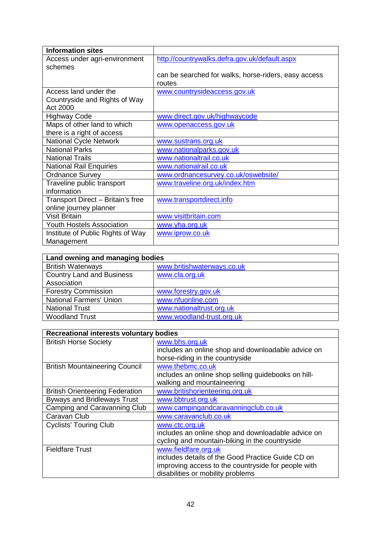| <b>Information sites</b>          |                                                      |
|-----------------------------------|------------------------------------------------------|
| Access under agri-environment     | http://countrywalks.defra.gov.uk/default.aspx        |
| schemes                           |                                                      |
|                                   | can be searched for walks, horse-riders, easy access |
|                                   | routes                                               |
| Access land under the             | www.countrysideaccess.gov.uk                         |
| Countryside and Rights of Way     |                                                      |
| Act 2000                          |                                                      |
| <b>Highway Code</b>               | www.direct.gov.uk/highwaycode                        |
| Maps of other land to which       | www.openaccess.gov.uk                                |
| there is a right of access        |                                                      |
| <b>National Cycle Network</b>     | www.sustrans.org.uk                                  |
| <b>National Parks</b>             | www.nationalparks.gov.uk                             |
| <b>National Trails</b>            | www.nationaltrail.co.uk                              |
| <b>National Rail Enquiries</b>    | www.nationalrail.co.uk                               |
| <b>Ordnance Survey</b>            | www.ordnancesurvey.co.uk/oswebsite/                  |
| Traveline public transport        | www.traveline.org.uk/index.htm                       |
| information                       |                                                      |
| Transport Direct - Britain's free | www.transportdirect.info                             |
| online journey planner            |                                                      |
| <b>Visit Britain</b>              | www.visitbritain.com                                 |
| <b>Youth Hostels Association</b>  | www.yha.org.uk                                       |
| Institute of Public Rights of Way | www.iprow.co.uk                                      |
| Management                        |                                                      |

| Land owning and managing bodies  |                            |  |
|----------------------------------|----------------------------|--|
| <b>British Waterways</b>         | www.britishwaterways.co.uk |  |
| <b>Country Land and Business</b> | www.cla.org.uk             |  |
| Association                      |                            |  |
| <b>Forestry Commission</b>       | www.forestry.gov.uk        |  |
| <b>National Farmers' Union</b>   | www.nfuonline.com          |  |
| <b>National Trust</b>            | www.nationaltrust.org.uk   |  |
| <b>Woodland Trust</b>            | www.woodland-trust.org.uk  |  |

| Recreational interests voluntary bodies             |                                                     |  |  |
|-----------------------------------------------------|-----------------------------------------------------|--|--|
| <b>British Horse Society</b>                        | www.bhs.org.uk                                      |  |  |
|                                                     | includes an online shop and downloadable advice on  |  |  |
|                                                     | horse-riding in the countryside                     |  |  |
| <b>British Mountaineering Council</b>               | www.thebmc.co.uk                                    |  |  |
|                                                     | includes an online shop selling guidebooks on hill- |  |  |
|                                                     | walking and mountaineering                          |  |  |
| <b>British Orienteering Federation</b>              | www.britishorienteering.org.uk                      |  |  |
| <b>Byways and Bridleways Trust</b>                  | www.bbtrust.org.uk                                  |  |  |
| Camping and Caravanning Club                        | www.campingandcaravanningclub.co.uk                 |  |  |
| Caravan Club                                        | www.caravanclub.co.uk                               |  |  |
| <b>Cyclists' Touring Club</b>                       | www.ctc.org.uk                                      |  |  |
|                                                     | includes an online shop and downloadable advice on  |  |  |
|                                                     | cycling and mountain-biking in the countryside      |  |  |
| <b>Fieldfare Trust</b>                              | www.fieldfare.org.uk                                |  |  |
|                                                     | includes details of the Good Practice Guide CD on   |  |  |
| improving access to the countryside for people with |                                                     |  |  |
|                                                     | disabilities or mobility problems                   |  |  |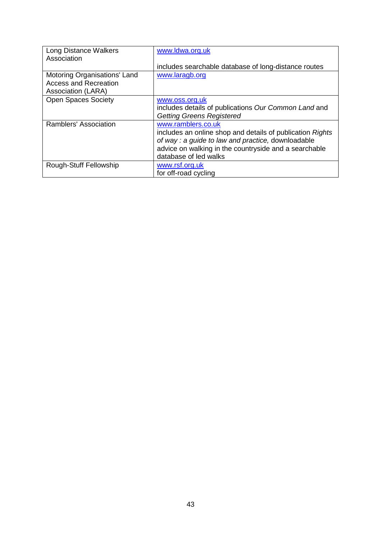| <b>Long Distance Walkers</b> | www.ldwa.org.uk                                           |
|------------------------------|-----------------------------------------------------------|
| Association                  |                                                           |
|                              | includes searchable database of long-distance routes      |
| Motoring Organisations' Land | www.laragb.org                                            |
| <b>Access and Recreation</b> |                                                           |
| Association (LARA)           |                                                           |
| <b>Open Spaces Society</b>   | www.oss.org.uk                                            |
|                              | includes details of publications Our Common Land and      |
|                              | <b>Getting Greens Registered</b>                          |
| Ramblers' Association        | www.ramblers.co.uk                                        |
|                              | includes an online shop and details of publication Rights |
|                              | of way : a guide to law and practice, downloadable        |
|                              | advice on walking in the countryside and a searchable     |
|                              | database of led walks                                     |
| Rough-Stuff Fellowship       | www.rsf.org.uk                                            |
|                              | for off-road cycling                                      |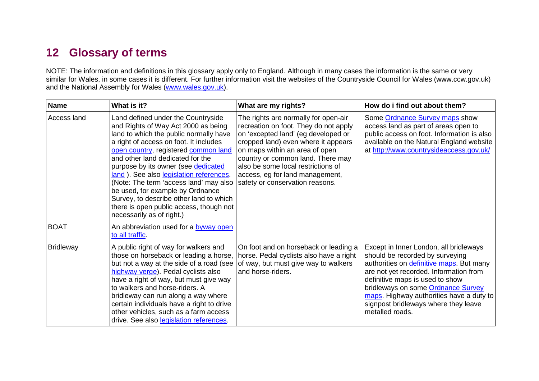# **12 Glossary of terms**

NOTE: The information and definitions in this glossary apply only to England. Although in many cases the information is the same or very similar for Wales, in some cases it is different. For further information visit the websites of the Countryside Council for Wales (www.ccw.gov.uk) and the National Assembly for Wales (www.wales.gov.uk).

| <b>Name</b>      | What is it?                                                                                                                                                                                                                                                                                                                                                                                                                                                                                                                  | What are my rights?                                                                                                                                                                                                                                                                                                                            | How do i find out about them?                                                                                                                                                                                                                                                                                                                   |
|------------------|------------------------------------------------------------------------------------------------------------------------------------------------------------------------------------------------------------------------------------------------------------------------------------------------------------------------------------------------------------------------------------------------------------------------------------------------------------------------------------------------------------------------------|------------------------------------------------------------------------------------------------------------------------------------------------------------------------------------------------------------------------------------------------------------------------------------------------------------------------------------------------|-------------------------------------------------------------------------------------------------------------------------------------------------------------------------------------------------------------------------------------------------------------------------------------------------------------------------------------------------|
| Access land      | Land defined under the Countryside<br>and Rights of Way Act 2000 as being<br>land to which the public normally have<br>a right of access on foot. It includes<br>open country, registered common land<br>and other land dedicated for the<br>purpose by its owner (see dedicated<br>land). See also legislation references.<br>(Note: The term 'access land' may also<br>be used, for example by Ordnance<br>Survey, to describe other land to which<br>there is open public access, though not<br>necessarily as of right.) | The rights are normally for open-air<br>recreation on foot. They do not apply<br>on 'excepted land' (eg developed or<br>cropped land) even where it appears<br>on maps within an area of open<br>country or common land. There may<br>also be some local restrictions of<br>access, eg for land management,<br>safety or conservation reasons. | Some Ordnance Survey maps show<br>access land as part of areas open to<br>public access on foot. Information is also<br>available on the Natural England website<br>at http://www.countrysideaccess.gov.uk/                                                                                                                                     |
| <b>BOAT</b>      | An abbreviation used for a byway open<br>to all traffic.                                                                                                                                                                                                                                                                                                                                                                                                                                                                     |                                                                                                                                                                                                                                                                                                                                                |                                                                                                                                                                                                                                                                                                                                                 |
| <b>Bridleway</b> | A public right of way for walkers and<br>those on horseback or leading a horse,<br>but not a way at the side of a road (see<br>highway verge). Pedal cyclists also<br>have a right of way, but must give way<br>to walkers and horse-riders. A<br>bridleway can run along a way where<br>certain individuals have a right to drive<br>other vehicles, such as a farm access<br>drive. See also legislation references.                                                                                                       | On foot and on horseback or leading a<br>horse. Pedal cyclists also have a right<br>of way, but must give way to walkers<br>and horse-riders.                                                                                                                                                                                                  | Except in Inner London, all bridleways<br>should be recorded by surveying<br>authorities on definitive maps. But many<br>are not yet recorded. Information from<br>definitive maps is used to show<br>bridleways on some Ordnance Survey<br>maps. Highway authorities have a duty to<br>signpost bridleways where they leave<br>metalled roads. |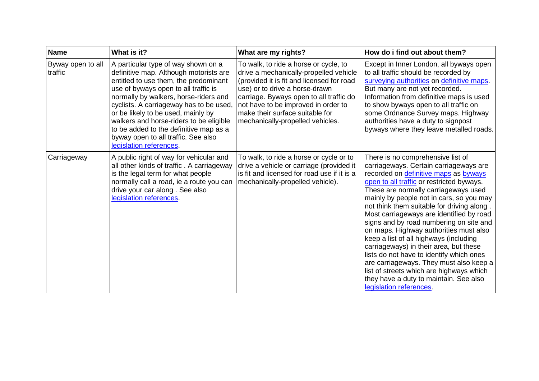| <b>Name</b>                  | What is it?                                                                                                                                                                                                                                                                                                                                                                                                                                     | What are my rights?                                                                                                                                                                                                                                                                                                     | How do i find out about them?                                                                                                                                                                                                                                                                                                                                                                                                                                                                                                                                                                                                                                                                                                    |
|------------------------------|-------------------------------------------------------------------------------------------------------------------------------------------------------------------------------------------------------------------------------------------------------------------------------------------------------------------------------------------------------------------------------------------------------------------------------------------------|-------------------------------------------------------------------------------------------------------------------------------------------------------------------------------------------------------------------------------------------------------------------------------------------------------------------------|----------------------------------------------------------------------------------------------------------------------------------------------------------------------------------------------------------------------------------------------------------------------------------------------------------------------------------------------------------------------------------------------------------------------------------------------------------------------------------------------------------------------------------------------------------------------------------------------------------------------------------------------------------------------------------------------------------------------------------|
| Byway open to all<br>traffic | A particular type of way shown on a<br>definitive map. Although motorists are<br>entitled to use them, the predominant<br>use of byways open to all traffic is<br>normally by walkers, horse-riders and<br>cyclists. A carriageway has to be used,<br>or be likely to be used, mainly by<br>walkers and horse-riders to be eligible<br>to be added to the definitive map as a<br>byway open to all traffic. See also<br>legislation references. | To walk, to ride a horse or cycle, to<br>drive a mechanically-propelled vehicle<br>(provided it is fit and licensed for road<br>use) or to drive a horse-drawn<br>carriage. Byways open to all traffic do<br>not have to be improved in order to<br>make their surface suitable for<br>mechanically-propelled vehicles. | Except in Inner London, all byways open<br>to all traffic should be recorded by<br>surveying authorities on definitive maps.<br>But many are not yet recorded.<br>Information from definitive maps is used<br>to show byways open to all traffic on<br>some Ordnance Survey maps. Highway<br>authorities have a duty to signpost<br>byways where they leave metalled roads.                                                                                                                                                                                                                                                                                                                                                      |
| Carriageway                  | A public right of way for vehicular and<br>all other kinds of traffic. A carriageway<br>is the legal term for what people<br>normally call a road, ie a route you can<br>drive your car along. See also<br>legislation references.                                                                                                                                                                                                              | To walk, to ride a horse or cycle or to<br>drive a vehicle or carriage (provided it<br>is fit and licensed for road use if it is a<br>mechanically-propelled vehicle).                                                                                                                                                  | There is no comprehensive list of<br>carriageways. Certain carriageways are<br>recorded on definitive maps as byways<br>open to all traffic or restricted byways.<br>These are normally carriageways used<br>mainly by people not in cars, so you may<br>not think them suitable for driving along.<br>Most carriageways are identified by road<br>signs and by road numbering on site and<br>on maps. Highway authorities must also<br>keep a list of all highways (including<br>carriageways) in their area, but these<br>lists do not have to identify which ones<br>are carriageways. They must also keep a<br>list of streets which are highways which<br>they have a duty to maintain. See also<br>legislation references. |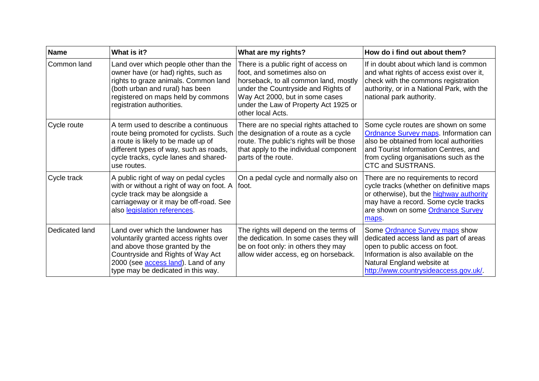| <b>Name</b>    | What is it?                                                                                                                                                                                                                             | What are my rights?                                                                                                                                                                                                                                  | How do i find out about them?                                                                                                                                                                                                         |
|----------------|-----------------------------------------------------------------------------------------------------------------------------------------------------------------------------------------------------------------------------------------|------------------------------------------------------------------------------------------------------------------------------------------------------------------------------------------------------------------------------------------------------|---------------------------------------------------------------------------------------------------------------------------------------------------------------------------------------------------------------------------------------|
| Common land    | Land over which people other than the<br>owner have (or had) rights, such as<br>rights to graze animals. Common land<br>(both urban and rural) has been<br>registered on maps held by commons<br>registration authorities.              | There is a public right of access on<br>foot, and sometimes also on<br>horseback, to all common land, mostly<br>under the Countryside and Rights of<br>Way Act 2000, but in some cases<br>under the Law of Property Act 1925 or<br>other local Acts. | If in doubt about which land is common<br>and what rights of access exist over it,<br>check with the commons registration<br>authority, or in a National Park, with the<br>national park authority.                                   |
| Cycle route    | A term used to describe a continuous<br>route being promoted for cyclists. Such<br>a route is likely to be made up of<br>different types of way, such as roads,<br>cycle tracks, cycle lanes and shared-<br>use routes.                 | There are no special rights attached to<br>the designation of a route as a cycle<br>route. The public's rights will be those<br>that apply to the individual component<br>parts of the route.                                                        | Some cycle routes are shown on some<br><b>Ordnance Survey maps. Information can</b><br>also be obtained from local authorities<br>and Tourist Information Centres, and<br>from cycling organisations such as the<br>CTC and SUSTRANS. |
| Cycle track    | A public right of way on pedal cycles<br>with or without a right of way on foot. A<br>cycle track may be alongside a<br>carriageway or it may be off-road. See<br>also legislation references.                                          | On a pedal cycle and normally also on<br>foot.                                                                                                                                                                                                       | There are no requirements to record<br>cycle tracks (whether on definitive maps<br>or otherwise), but the highway authority<br>may have a record. Some cycle tracks<br>are shown on some Ordnance Survey<br>maps.                     |
| Dedicated land | Land over which the landowner has<br>voluntarily granted access rights over<br>and above those granted by the<br>Countryside and Rights of Way Act<br>2000 (see <b>access land</b> ). Land of any<br>type may be dedicated in this way. | The rights will depend on the terms of<br>the dedication. In some cases they will<br>be on foot only: in others they may<br>allow wider access, eg on horseback.                                                                                     | Some Ordnance Survey maps show<br>dedicated access land as part of areas<br>open to public access on foot.<br>Information is also available on the<br>Natural England website at<br>http://www.countrysideaccess.gov.uk/.             |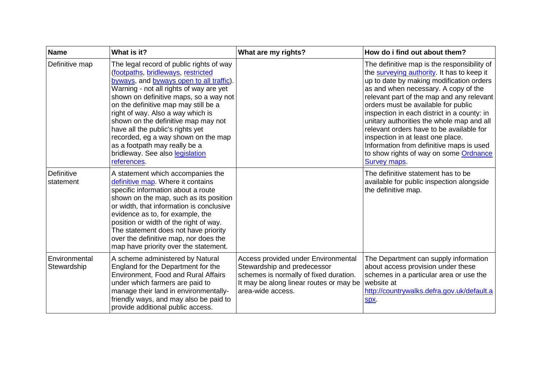| <b>Name</b>                  | What is it?                                                                                                                                                                                                                                                                                                                                                                                                                                                                                       | What are my rights?                                                                                                                                                          | How do i find out about them?                                                                                                                                                                                                                                                                                                                                                                                                                                                                                                                        |
|------------------------------|---------------------------------------------------------------------------------------------------------------------------------------------------------------------------------------------------------------------------------------------------------------------------------------------------------------------------------------------------------------------------------------------------------------------------------------------------------------------------------------------------|------------------------------------------------------------------------------------------------------------------------------------------------------------------------------|------------------------------------------------------------------------------------------------------------------------------------------------------------------------------------------------------------------------------------------------------------------------------------------------------------------------------------------------------------------------------------------------------------------------------------------------------------------------------------------------------------------------------------------------------|
| Definitive map               | The legal record of public rights of way<br>(footpaths, bridleways, restricted<br>byways, and byways open to all traffic).<br>Warning - not all rights of way are yet<br>shown on definitive maps, so a way not<br>on the definitive map may still be a<br>right of way. Also a way which is<br>shown on the definitive map may not<br>have all the public's rights yet<br>recorded, eg a way shown on the map<br>as a footpath may really be a<br>bridleway. See also legislation<br>references. |                                                                                                                                                                              | The definitive map is the responsibility of<br>the surveying authority. It has to keep it<br>up to date by making modification orders<br>as and when necessary. A copy of the<br>relevant part of the map and any relevant<br>orders must be available for public<br>inspection in each district in a county: in<br>unitary authorities the whole map and all<br>relevant orders have to be available for<br>inspection in at least one place.<br>Information from definitive maps is used<br>to show rights of way on some Ordnance<br>Survey maps. |
| Definitive<br>statement      | A statement which accompanies the<br>definitive map. Where it contains<br>specific information about a route<br>shown on the map, such as its position<br>or width, that information is conclusive<br>evidence as to, for example, the<br>position or width of the right of way.<br>The statement does not have priority<br>over the definitive map, nor does the<br>map have priority over the statement.                                                                                        |                                                                                                                                                                              | The definitive statement has to be<br>available for public inspection alongside<br>the definitive map.                                                                                                                                                                                                                                                                                                                                                                                                                                               |
| Environmental<br>Stewardship | A scheme administered by Natural<br>England for the Department for the<br><b>Environment, Food and Rural Affairs</b><br>under which farmers are paid to<br>manage their land in environmentally-<br>friendly ways, and may also be paid to<br>provide additional public access.                                                                                                                                                                                                                   | Access provided under Environmental<br>Stewardship and predecessor<br>schemes is normally of fixed duration.<br>It may be along linear routes or may be<br>area-wide access. | The Department can supply information<br>about access provision under these<br>schemes in a particular area or use the<br>website at<br>http://countrywalks.defra.gov.uk/default.a<br>Spx.                                                                                                                                                                                                                                                                                                                                                           |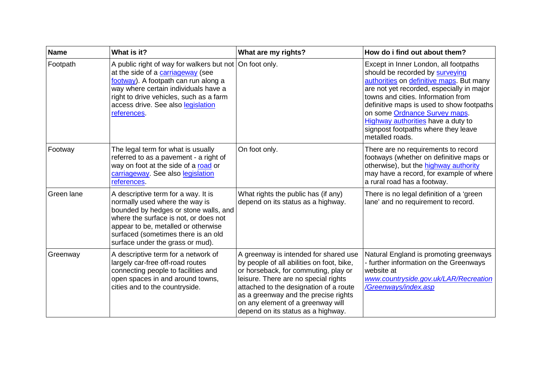| <b>Name</b> | What is it?                                                                                                                                                                                                                                                                    | What are my rights?                                                                                                                                                                                                                                                                                                             | How do i find out about them?                                                                                                                                                                                                                                                                                                                                                         |
|-------------|--------------------------------------------------------------------------------------------------------------------------------------------------------------------------------------------------------------------------------------------------------------------------------|---------------------------------------------------------------------------------------------------------------------------------------------------------------------------------------------------------------------------------------------------------------------------------------------------------------------------------|---------------------------------------------------------------------------------------------------------------------------------------------------------------------------------------------------------------------------------------------------------------------------------------------------------------------------------------------------------------------------------------|
| Footpath    | A public right of way for walkers but not   On foot only.<br>at the side of a carriageway (see<br>footway). A footpath can run along a<br>way where certain individuals have a<br>right to drive vehicles, such as a farm<br>access drive. See also legislation<br>references. |                                                                                                                                                                                                                                                                                                                                 | Except in Inner London, all footpaths<br>should be recorded by surveying<br>authorities on definitive maps. But many<br>are not yet recorded, especially in major<br>towns and cities. Information from<br>definitive maps is used to show footpaths<br>on some Ordnance Survey maps.<br>Highway authorities have a duty to<br>signpost footpaths where they leave<br>metalled roads. |
| Footway     | The legal term for what is usually<br>referred to as a pavement - a right of<br>way on foot at the side of a road or<br>carriageway. See also legislation<br>references.                                                                                                       | On foot only.                                                                                                                                                                                                                                                                                                                   | There are no requirements to record<br>footways (whether on definitive maps or<br>otherwise), but the highway authority<br>may have a record, for example of where<br>a rural road has a footway.                                                                                                                                                                                     |
| Green lane  | A descriptive term for a way. It is<br>normally used where the way is<br>bounded by hedges or stone walls, and<br>where the surface is not, or does not<br>appear to be, metalled or otherwise<br>surfaced (sometimes there is an old<br>surface under the grass or mud).      | What rights the public has (if any)<br>depend on its status as a highway.                                                                                                                                                                                                                                                       | There is no legal definition of a 'green<br>lane' and no requirement to record.                                                                                                                                                                                                                                                                                                       |
| Greenway    | A descriptive term for a network of<br>largely car-free off-road routes<br>connecting people to facilities and<br>open spaces in and around towns,<br>cities and to the countryside.                                                                                           | A greenway is intended for shared use<br>by people of all abilities on foot, bike,<br>or horseback, for commuting, play or<br>leisure. There are no special rights<br>attached to the designation of a route<br>as a greenway and the precise rights<br>on any element of a greenway will<br>depend on its status as a highway. | Natural England is promoting greenways<br>- further information on the Greenways<br>website at<br>www.countryside.gov.uk/LAR/Recreation<br>/Greenways/index.asp                                                                                                                                                                                                                       |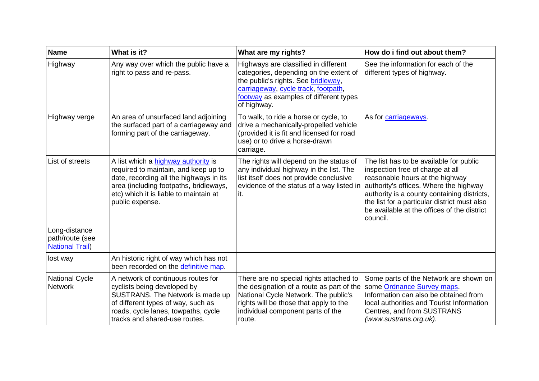| <b>Name</b>                                                | What is it?                                                                                                                                                                                                                   | What are my rights?                                                                                                                                                                                                   | How do i find out about them?                                                                                                                                                                                                                                                                                      |
|------------------------------------------------------------|-------------------------------------------------------------------------------------------------------------------------------------------------------------------------------------------------------------------------------|-----------------------------------------------------------------------------------------------------------------------------------------------------------------------------------------------------------------------|--------------------------------------------------------------------------------------------------------------------------------------------------------------------------------------------------------------------------------------------------------------------------------------------------------------------|
| Highway                                                    | Any way over which the public have a<br>right to pass and re-pass.                                                                                                                                                            | Highways are classified in different<br>categories, depending on the extent of<br>the public's rights. See bridleway,<br>carriageway, cycle track, footpath,<br>footway as examples of different types<br>of highway. | See the information for each of the<br>different types of highway.                                                                                                                                                                                                                                                 |
| Highway verge                                              | An area of unsurfaced land adjoining<br>the surfaced part of a carriageway and<br>forming part of the carriageway.                                                                                                            | To walk, to ride a horse or cycle, to<br>drive a mechanically-propelled vehicle<br>(provided it is fit and licensed for road<br>use) or to drive a horse-drawn<br>carriage.                                           | As for carriageways.                                                                                                                                                                                                                                                                                               |
| List of streets                                            | A list which a highway authority is<br>required to maintain, and keep up to<br>date, recording all the highways in its<br>area (including footpaths, bridleways,<br>etc) which it is liable to maintain at<br>public expense. | The rights will depend on the status of<br>any individual highway in the list. The<br>list itself does not provide conclusive<br>evidence of the status of a way listed in<br>it.                                     | The list has to be available for public<br>inspection free of charge at all<br>reasonable hours at the highway<br>authority's offices. Where the highway<br>authority is a county containing districts,<br>the list for a particular district must also<br>be available at the offices of the district<br>council. |
| Long-distance<br>path/route (see<br><b>National Trail)</b> |                                                                                                                                                                                                                               |                                                                                                                                                                                                                       |                                                                                                                                                                                                                                                                                                                    |
| lost way                                                   | An historic right of way which has not<br>been recorded on the definitive map.                                                                                                                                                |                                                                                                                                                                                                                       |                                                                                                                                                                                                                                                                                                                    |
| <b>National Cycle</b><br><b>Network</b>                    | A network of continuous routes for<br>cyclists being developed by<br>SUSTRANS. The Network is made up<br>of different types of way, such as<br>roads, cycle lanes, towpaths, cycle<br>tracks and shared-use routes.           | There are no special rights attached to<br>the designation of a route as part of the<br>National Cycle Network. The public's<br>rights will be those that apply to the<br>individual component parts of the<br>route. | Some parts of the Network are shown on<br>some Ordnance Survey maps.<br>Information can also be obtained from<br>local authorities and Tourist Information<br>Centres, and from SUSTRANS<br>(www.sustrans.org.uk).                                                                                                 |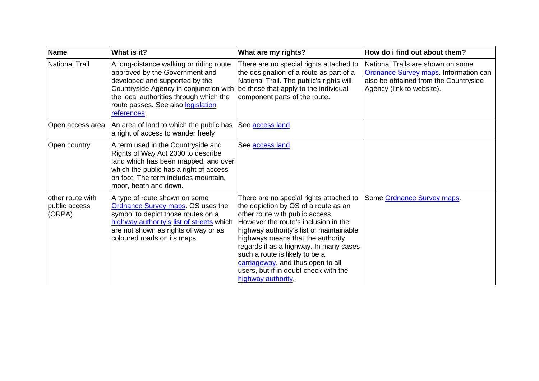| <b>Name</b>                                 | What is it?                                                                                                                                                                                                                                           | What are my rights?                                                                                                                                                                                                                                                                                                                                                                                                         | How do i find out about them?                                                                                                                           |
|---------------------------------------------|-------------------------------------------------------------------------------------------------------------------------------------------------------------------------------------------------------------------------------------------------------|-----------------------------------------------------------------------------------------------------------------------------------------------------------------------------------------------------------------------------------------------------------------------------------------------------------------------------------------------------------------------------------------------------------------------------|---------------------------------------------------------------------------------------------------------------------------------------------------------|
| <b>National Trail</b>                       | A long-distance walking or riding route<br>approved by the Government and<br>developed and supported by the<br>Countryside Agency in conjunction with<br>the local authorities through which the<br>route passes. See also legislation<br>references. | There are no special rights attached to<br>the designation of a route as part of a<br>National Trail. The public's rights will<br>be those that apply to the individual<br>component parts of the route.                                                                                                                                                                                                                    | National Trails are shown on some<br><b>Ordnance Survey maps. Information can</b><br>also be obtained from the Countryside<br>Agency (link to website). |
| Open access area                            | An area of land to which the public has<br>a right of access to wander freely                                                                                                                                                                         | See access land                                                                                                                                                                                                                                                                                                                                                                                                             |                                                                                                                                                         |
| Open country                                | A term used in the Countryside and<br>Rights of Way Act 2000 to describe<br>land which has been mapped, and over<br>which the public has a right of access<br>on foot. The term includes mountain,<br>moor, heath and down.                           | See access land.                                                                                                                                                                                                                                                                                                                                                                                                            |                                                                                                                                                         |
| other route with<br>public access<br>(ORPA) | A type of route shown on some<br>Ordnance Survey maps. OS uses the<br>symbol to depict those routes on a<br>highway authority's list of streets which<br>are not shown as rights of way or as<br>coloured roads on its maps.                          | There are no special rights attached to<br>the depiction by OS of a route as an<br>other route with public access.<br>However the route's inclusion in the<br>highway authority's list of maintainable<br>highways means that the authority<br>regards it as a highway. In many cases<br>such a route is likely to be a<br>carriageway, and thus open to all<br>users, but if in doubt check with the<br>highway authority. | Some Ordnance Survey maps.                                                                                                                              |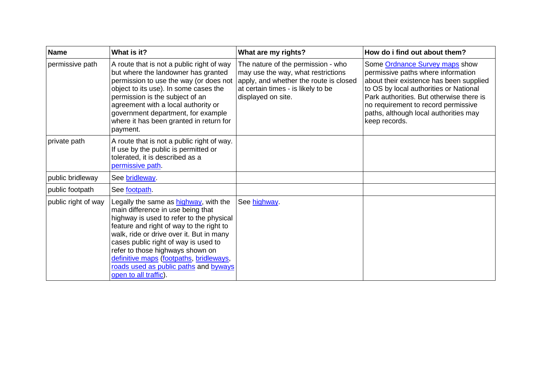| <b>Name</b>         | What is it?                                                                                                                                                                                                                                                                                                                                                                                                     | What are my rights?                                                                                                                                                            | How do i find out about them?                                                                                                                                                                                                                                                                          |
|---------------------|-----------------------------------------------------------------------------------------------------------------------------------------------------------------------------------------------------------------------------------------------------------------------------------------------------------------------------------------------------------------------------------------------------------------|--------------------------------------------------------------------------------------------------------------------------------------------------------------------------------|--------------------------------------------------------------------------------------------------------------------------------------------------------------------------------------------------------------------------------------------------------------------------------------------------------|
| permissive path     | A route that is not a public right of way<br>but where the landowner has granted<br>permission to use the way (or does not<br>object to its use). In some cases the<br>permission is the subject of an<br>agreement with a local authority or<br>government department, for example<br>where it has been granted in return for<br>payment.                                                                      | The nature of the permission - who<br>may use the way, what restrictions<br>apply, and whether the route is closed<br>at certain times - is likely to be<br>displayed on site. | Some Ordnance Survey maps show<br>permissive paths where information<br>about their existence has been supplied<br>to OS by local authorities or National<br>Park authorities. But otherwise there is<br>no requirement to record permissive<br>paths, although local authorities may<br>keep records. |
| private path        | A route that is not a public right of way.<br>If use by the public is permitted or<br>tolerated, it is described as a<br>permissive path.                                                                                                                                                                                                                                                                       |                                                                                                                                                                                |                                                                                                                                                                                                                                                                                                        |
| public bridleway    | See bridleway.                                                                                                                                                                                                                                                                                                                                                                                                  |                                                                                                                                                                                |                                                                                                                                                                                                                                                                                                        |
| public footpath     | See footpath.                                                                                                                                                                                                                                                                                                                                                                                                   |                                                                                                                                                                                |                                                                                                                                                                                                                                                                                                        |
| public right of way | Legally the same as <b>highway</b> , with the<br>main difference in use being that<br>highway is used to refer to the physical<br>feature and right of way to the right to<br>walk, ride or drive over it. But in many<br>cases public right of way is used to<br>refer to those highways shown on<br>definitive maps (footpaths, bridleways,<br>roads used as public paths and byways<br>open to all traffic). | See highway.                                                                                                                                                                   |                                                                                                                                                                                                                                                                                                        |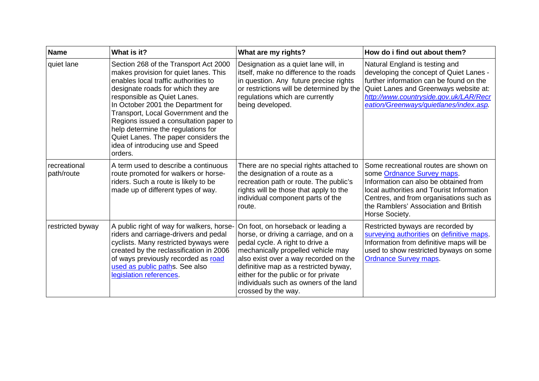| <b>Name</b>                | What is it?                                                                                                                                                                                                                                                                                                                                                                                                                                      | What are my rights?                                                                                                                                                                                                                                                                                                                              | How do i find out about them?                                                                                                                                                                                                                                   |
|----------------------------|--------------------------------------------------------------------------------------------------------------------------------------------------------------------------------------------------------------------------------------------------------------------------------------------------------------------------------------------------------------------------------------------------------------------------------------------------|--------------------------------------------------------------------------------------------------------------------------------------------------------------------------------------------------------------------------------------------------------------------------------------------------------------------------------------------------|-----------------------------------------------------------------------------------------------------------------------------------------------------------------------------------------------------------------------------------------------------------------|
| quiet lane                 | Section 268 of the Transport Act 2000<br>makes provision for quiet lanes. This<br>enables local traffic authorities to<br>designate roads for which they are<br>responsible as Quiet Lanes.<br>In October 2001 the Department for<br>Transport, Local Government and the<br>Regions issued a consultation paper to<br>help determine the regulations for<br>Quiet Lanes. The paper considers the<br>idea of introducing use and Speed<br>orders. | Designation as a quiet lane will, in<br>itself, make no difference to the roads<br>in question. Any future precise rights<br>or restrictions will be determined by the<br>regulations which are currently<br>being developed.                                                                                                                    | Natural England is testing and<br>developing the concept of Quiet Lanes -<br>further information can be found on the<br>Quiet Lanes and Greenways website at:<br>http://www.countryside.gov.uk/LAR/Recr<br>eation/Greenways/quietlanes/index.asp.               |
| recreational<br>path/route | A term used to describe a continuous<br>route promoted for walkers or horse-<br>riders. Such a route is likely to be<br>made up of different types of way.                                                                                                                                                                                                                                                                                       | There are no special rights attached to<br>the designation of a route as a<br>recreation path or route. The public's<br>rights will be those that apply to the<br>individual component parts of the<br>route.                                                                                                                                    | Some recreational routes are shown on<br>some Ordnance Survey maps.<br>Information can also be obtained from<br>local authorities and Tourist Information<br>Centres, and from organisations such as<br>the Ramblers' Association and British<br>Horse Society. |
| restricted byway           | A public right of way for walkers, horse-<br>riders and carriage-drivers and pedal<br>cyclists. Many restricted byways were<br>created by the reclassification in 2006<br>of ways previously recorded as road<br>used as public paths. See also<br>legislation references.                                                                                                                                                                       | On foot, on horseback or leading a<br>horse, or driving a carriage, and on a<br>pedal cycle. A right to drive a<br>mechanically propelled vehicle may<br>also exist over a way recorded on the<br>definitive map as a restricted byway,<br>either for the public or for private<br>individuals such as owners of the land<br>crossed by the way. | Restricted byways are recorded by<br>surveying authorities on definitive maps.<br>Information from definitive maps will be<br>used to show restricted byways on some<br><b>Ordnance Survey maps.</b>                                                            |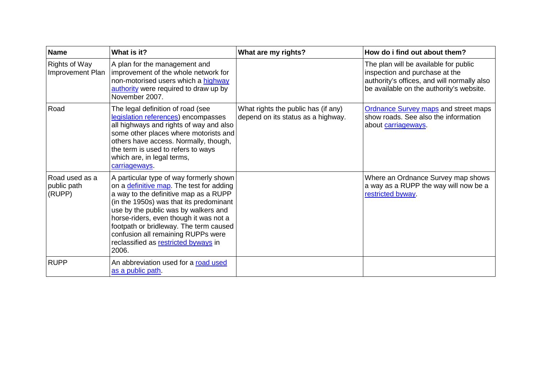| <b>Name</b>                              | What is it?                                                                                                                                                                                                                                                                                                                                                                                        | What are my rights?                                                       | How do i find out about them?                                                                                                                                      |
|------------------------------------------|----------------------------------------------------------------------------------------------------------------------------------------------------------------------------------------------------------------------------------------------------------------------------------------------------------------------------------------------------------------------------------------------------|---------------------------------------------------------------------------|--------------------------------------------------------------------------------------------------------------------------------------------------------------------|
| <b>Rights of Way</b><br>Improvement Plan | A plan for the management and<br>improvement of the whole network for<br>non-motorised users which a highway<br>authority were required to draw up by<br>November 2007.                                                                                                                                                                                                                            |                                                                           | The plan will be available for public<br>inspection and purchase at the<br>authority's offices, and will normally also<br>be available on the authority's website. |
| Road                                     | The legal definition of road (see<br>legislation references) encompasses<br>all highways and rights of way and also<br>some other places where motorists and<br>others have access. Normally, though,<br>the term is used to refers to ways<br>which are, in legal terms,<br>carriageways                                                                                                          | What rights the public has (if any)<br>depend on its status as a highway. | <b>Ordnance Survey maps and street maps</b><br>show roads. See also the information<br>about carriageways.                                                         |
| Road used as a<br>public path<br>(RUPP)  | A particular type of way formerly shown<br>on a <i>definitive map</i> . The test for adding<br>a way to the definitive map as a RUPP<br>(in the 1950s) was that its predominant<br>use by the public was by walkers and<br>horse-riders, even though it was not a<br>footpath or bridleway. The term caused<br>confusion all remaining RUPPs were<br>reclassified as restricted byways in<br>2006. |                                                                           | Where an Ordnance Survey map shows<br>a way as a RUPP the way will now be a<br>restricted byway.                                                                   |
| <b>RUPP</b>                              | An abbreviation used for a road used<br>as a public path.                                                                                                                                                                                                                                                                                                                                          |                                                                           |                                                                                                                                                                    |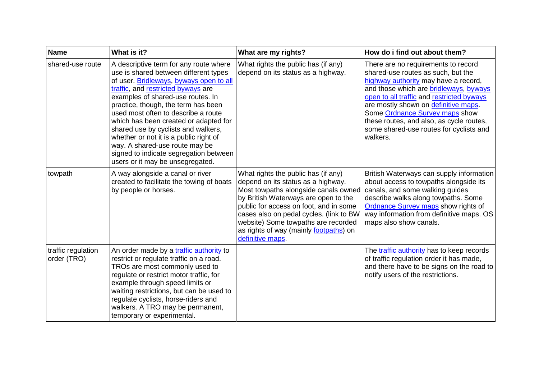| <b>Name</b>                       | What is it?                                                                                                                                                                                                                                                                                                                                                                                                                                                                                                                   | What are my rights?                                                                                                                                                                                                                                                                                                                                 | How do i find out about them?                                                                                                                                                                                                                                                                                                                                                                 |
|-----------------------------------|-------------------------------------------------------------------------------------------------------------------------------------------------------------------------------------------------------------------------------------------------------------------------------------------------------------------------------------------------------------------------------------------------------------------------------------------------------------------------------------------------------------------------------|-----------------------------------------------------------------------------------------------------------------------------------------------------------------------------------------------------------------------------------------------------------------------------------------------------------------------------------------------------|-----------------------------------------------------------------------------------------------------------------------------------------------------------------------------------------------------------------------------------------------------------------------------------------------------------------------------------------------------------------------------------------------|
| shared-use route                  | A descriptive term for any route where<br>use is shared between different types<br>of user. Bridleways, byways open to all<br>traffic, and restricted byways are<br>examples of shared-use routes. In<br>practice, though, the term has been<br>used most often to describe a route<br>which has been created or adapted for<br>shared use by cyclists and walkers,<br>whether or not it is a public right of<br>way. A shared-use route may be<br>signed to indicate segregation between<br>users or it may be unsegregated. | What rights the public has (if any)<br>depend on its status as a highway.                                                                                                                                                                                                                                                                           | There are no requirements to record<br>shared-use routes as such, but the<br>highway authority may have a record,<br>and those which are <b>bridleways</b> , byways<br>open to all traffic and restricted byways<br>are mostly shown on definitive maps.<br>Some Ordnance Survey maps show<br>these routes, and also, as cycle routes,<br>some shared-use routes for cyclists and<br>walkers. |
| towpath                           | A way alongside a canal or river<br>created to facilitate the towing of boats<br>by people or horses.                                                                                                                                                                                                                                                                                                                                                                                                                         | What rights the public has (if any)<br>depend on its status as a highway.<br>Most towpaths alongside canals owned<br>by British Waterways are open to the<br>public for access on foot, and in some<br>cases also on pedal cycles. (link to BW<br>website) Some towpaths are recorded<br>as rights of way (mainly footpaths) on<br>definitive maps. | British Waterways can supply information<br>about access to towpaths alongside its<br>canals, and some walking guides<br>describe walks along towpaths. Some<br><b>Ordnance Survey maps show rights of</b><br>way information from definitive maps. OS<br>maps also show canals.                                                                                                              |
| traffic regulation<br>order (TRO) | An order made by a traffic authority to<br>restrict or regulate traffic on a road.<br>TROs are most commonly used to<br>regulate or restrict motor traffic, for<br>example through speed limits or<br>waiting restrictions, but can be used to<br>regulate cyclists, horse-riders and<br>walkers. A TRO may be permanent,<br>temporary or experimental.                                                                                                                                                                       |                                                                                                                                                                                                                                                                                                                                                     | The traffic authority has to keep records<br>of traffic regulation order it has made,<br>and there have to be signs on the road to<br>notify users of the restrictions.                                                                                                                                                                                                                       |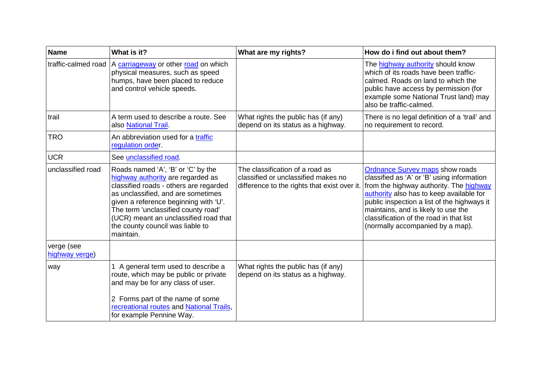| <b>Name</b>                  | What is it?                                                                                                                                                                                                                                                                                                                       | What are my rights?                                                                                                    | How do i find out about them?                                                                                                                                                                                                                                                                                                                    |
|------------------------------|-----------------------------------------------------------------------------------------------------------------------------------------------------------------------------------------------------------------------------------------------------------------------------------------------------------------------------------|------------------------------------------------------------------------------------------------------------------------|--------------------------------------------------------------------------------------------------------------------------------------------------------------------------------------------------------------------------------------------------------------------------------------------------------------------------------------------------|
| traffic-calmed road          | A carriageway or other road on which<br>physical measures, such as speed<br>humps, have been placed to reduce<br>and control vehicle speeds.                                                                                                                                                                                      |                                                                                                                        | The highway authority should know<br>which of its roads have been traffic-<br>calmed. Roads on land to which the<br>public have access by permission (for<br>example some National Trust land) may<br>also be traffic-calmed.                                                                                                                    |
| trail                        | A term used to describe a route. See<br>also National Trail.                                                                                                                                                                                                                                                                      | What rights the public has (if any)<br>depend on its status as a highway.                                              | There is no legal definition of a 'trail' and<br>no requirement to record.                                                                                                                                                                                                                                                                       |
| <b>TRO</b>                   | An abbreviation used for a traffic<br>regulation order.                                                                                                                                                                                                                                                                           |                                                                                                                        |                                                                                                                                                                                                                                                                                                                                                  |
| <b>UCR</b>                   | See unclassified road.                                                                                                                                                                                                                                                                                                            |                                                                                                                        |                                                                                                                                                                                                                                                                                                                                                  |
| unclassified road            | Roads named 'A', 'B' or 'C' by the<br>highway authority are regarded as<br>classified roads - others are regarded<br>as unclassified, and are sometimes<br>given a reference beginning with 'U'.<br>The term 'unclassified county road'<br>(UCR) meant an unclassified road that<br>the county council was liable to<br>maintain. | The classification of a road as<br>classified or unclassified makes no<br>difference to the rights that exist over it. | <b>Ordnance Survey maps show roads</b><br>classified as 'A' or 'B' using information<br>from the highway authority. The highway<br>authority also has to keep available for<br>public inspection a list of the highways it<br>maintains, and is likely to use the<br>classification of the road in that list<br>(normally accompanied by a map). |
| verge (see<br>highway verge) |                                                                                                                                                                                                                                                                                                                                   |                                                                                                                        |                                                                                                                                                                                                                                                                                                                                                  |
| way                          | 1 A general term used to describe a<br>route, which may be public or private<br>and may be for any class of user.<br>2 Forms part of the name of some<br>recreational routes and National Trails,<br>for example Pennine Way.                                                                                                     | What rights the public has (if any)<br>depend on its status as a highway.                                              |                                                                                                                                                                                                                                                                                                                                                  |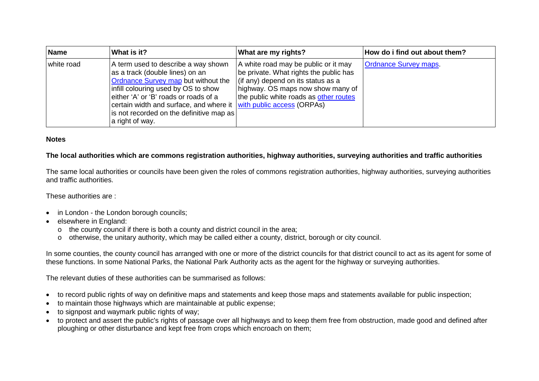| <b>Name</b> | What is it?                                                                                                                                                                                                                                                                                                                        | What are my rights?                                                                                                                                                                                        | How do i find out about them? |
|-------------|------------------------------------------------------------------------------------------------------------------------------------------------------------------------------------------------------------------------------------------------------------------------------------------------------------------------------------|------------------------------------------------------------------------------------------------------------------------------------------------------------------------------------------------------------|-------------------------------|
| white road  | A term used to describe a way shown<br>as a track (double lines) on an<br>Ordnance Survey map but without the<br>infill colouring used by OS to show<br>either 'A' or 'B' roads or roads of a<br>certain width and surface, and where it with public access (ORPAs)<br>is not recorded on the definitive map as<br>a right of way. | A white road may be public or it may<br>be private. What rights the public has<br>$\int$ (if any) depend on its status as a<br>highway. OS maps now show many of<br>the public white roads as other routes | <b>Ordnance Survey maps.</b>  |

#### **Notes**

#### **The local authorities which are commons registration authorities, highway authorities, surveying authorities and traffic authorities**

The same local authorities or councils have been given the roles of commons registration authorities, highway authorities, surveying authorities and traffic authorities.

These authorities are :

- in London the London borough councils;
- elsewhere in England:
	- <sup>o</sup> the county council if there is both a county and district council in the area;
	- <sup>o</sup> otherwise, the unitary authority, which may be called either a county, district, borough or city council.

In some counties, the county council has arranged with one or more of the district councils for that district council to act as its agent for some of these functions. In some National Parks, the National Park Authority acts as the agent for the highway or surveying authorities.

The relevant duties of these authorities can be summarised as follows:

- to record public rights of way on definitive maps and statements and keep those maps and statements available for public inspection;
- to maintain those highways which are maintainable at public expense;
- to signpost and waymark public rights of way;
- to protect and assert the public's rights of passage over all highways and to keep them free from obstruction, made good and defined after ploughing or other disturbance and kept free from crops which encroach on them;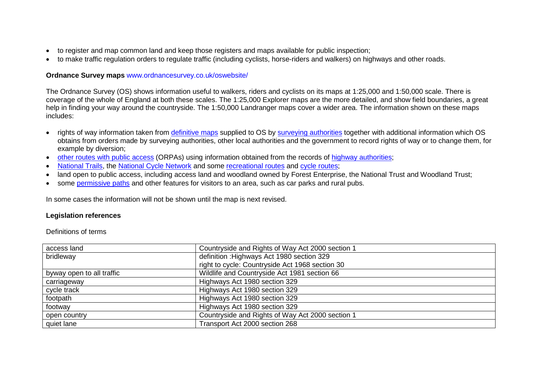- to register and map common land and keep those registers and maps available for public inspection;
- to make traffic regulation orders to regulate traffic (including cyclists, horse-riders and walkers) on highways and other roads.

#### **Ordnance Survey maps** www.ordnancesurvey.co.uk/oswebsite/

The Ordnance Survey (OS) shows information useful to walkers, riders and cyclists on its maps at 1:25,000 and 1:50,000 scale. There is coverage of the whole of England at both these scales. The 1:25,000 Explorer maps are the more detailed, and show field boundaries, a great help in finding your way around the countryside. The 1:50,000 Landranger maps cover a wider area. The information shown on these maps includes:

- rights of way information taken from definitive maps supplied to OS by surveying authorities together with additional information which OS obtains from orders made by surveying authorities, other local authorities and the government to record rights of way or to change them, for example by diversion;
- •other routes with public access (ORPAs) using information obtained from the records of highway authorities;
- •National Trails, the National Cycle Network and some recreational routes and cycle routes;
- land open to public access, including access land and woodland owned by Forest Enterprise, the National Trust and Woodland Trust;
- some permissive paths and other features for visitors to an area, such as car parks and rural pubs.

In some cases the information will not be shown until the map is next revised.

#### **Legislation references**

Definitions of terms

| access land               | Countryside and Rights of Way Act 2000 section 1 |
|---------------------------|--------------------------------------------------|
| bridleway                 | definition : Highways Act 1980 section 329       |
|                           | right to cycle: Countryside Act 1968 section 30  |
| byway open to all traffic | Wildlife and Countryside Act 1981 section 66     |
| carriageway               | Highways Act 1980 section 329                    |
| cycle track               | Highways Act 1980 section 329                    |
| footpath                  | Highways Act 1980 section 329                    |
| footway                   | Highways Act 1980 section 329                    |
| open country              | Countryside and Rights of Way Act 2000 section 1 |
| quiet lane                | Transport Act 2000 section 268                   |